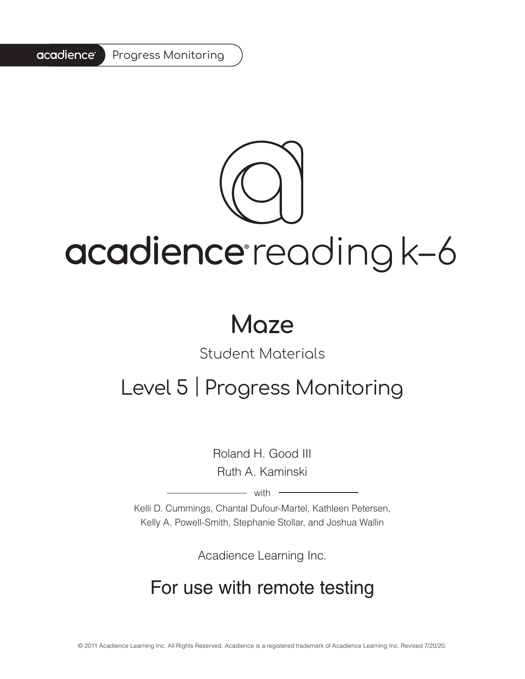#### acadience<sup>®</sup> Progress Monitoring

# acadience reading k-6

### **Maze**

### Student Materials

### Level 5 | Progress Monitoring

Roland H. Good III Ruth A. Kaminski

 $-$  with  $-$ 

Kelli D. Cummings, Chantal Dufour-Martel, Kathleen Petersen, Kelly A. Powell-Smith, Stephanie Stollar, and Joshua Wallin

Acadience Learning Inc.

### For use with remote testing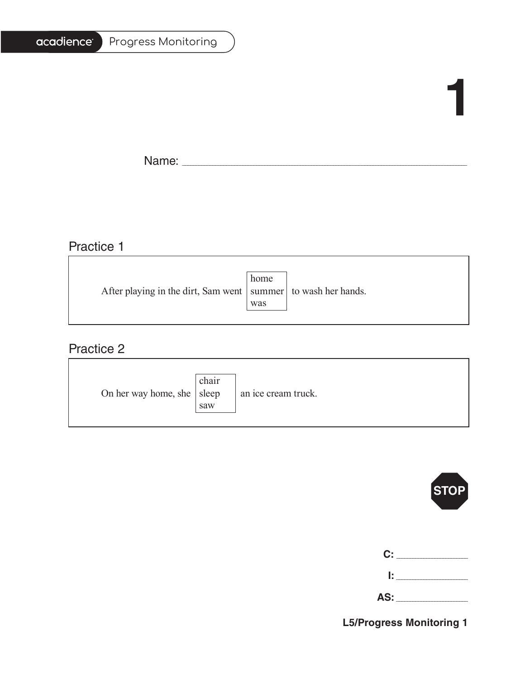| Progress Monitoring |
|---------------------|
|                     |

# **1**

Ē.

Name: \_\_\_\_\_\_\_\_\_\_\_\_\_\_\_\_\_\_\_\_\_\_\_\_\_\_\_\_\_\_\_\_\_\_\_\_\_\_\_\_\_\_\_\_\_\_\_\_\_\_\_\_\_\_\_\_\_\_\_\_\_\_\_\_\_\_\_\_\_\_\_\_\_\_\_\_\_\_\_\_\_\_\_\_\_\_\_\_\_\_\_\_\_\_\_\_\_\_\_\_\_\_\_

### Practice 1

|                                                                   | home |  |
|-------------------------------------------------------------------|------|--|
| After playing in the dirt, Sam went   summer   to wash her hands. |      |  |
|                                                                   | was  |  |
|                                                                   |      |  |

<u> 1989 - Johann Barn, mars ann an t-Amhain Aonaich an t-Aonaich an t-Aonaich ann an t-Aonaich ann an t-Aonaich</u>

### Practice 2

| On her way home, she $ $ sleep | chair<br>saw | an ice cream truck. |
|--------------------------------|--------------|---------------------|
|--------------------------------|--------------|---------------------|



| C: C<br><b>Contractor</b> |
|---------------------------|
| lt i v                    |

| - -<br><u>гч</u><br>$\sim$ |  |
|----------------------------|--|
|----------------------------|--|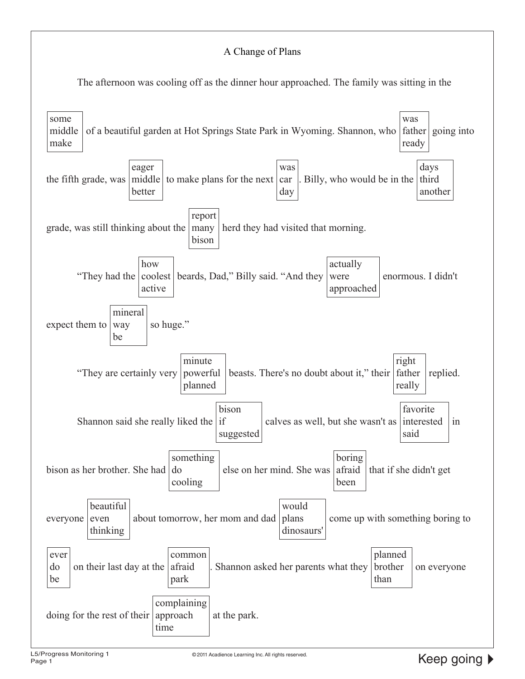#### A Change of Plans

The afternoon was cooling off as the dinner hour approached. The family was sitting in the

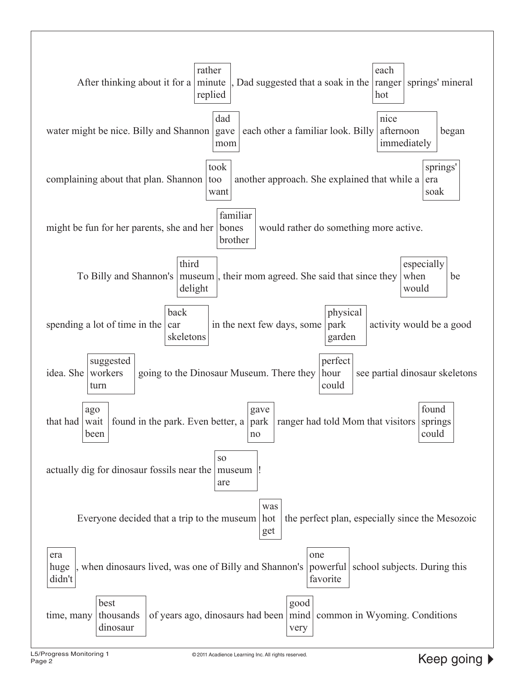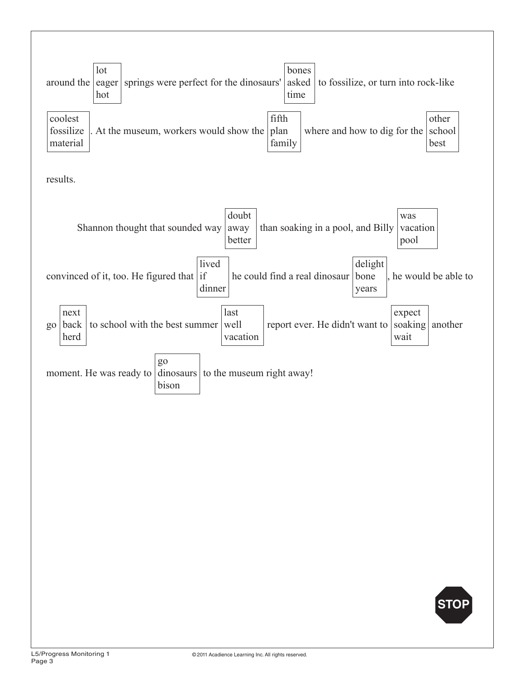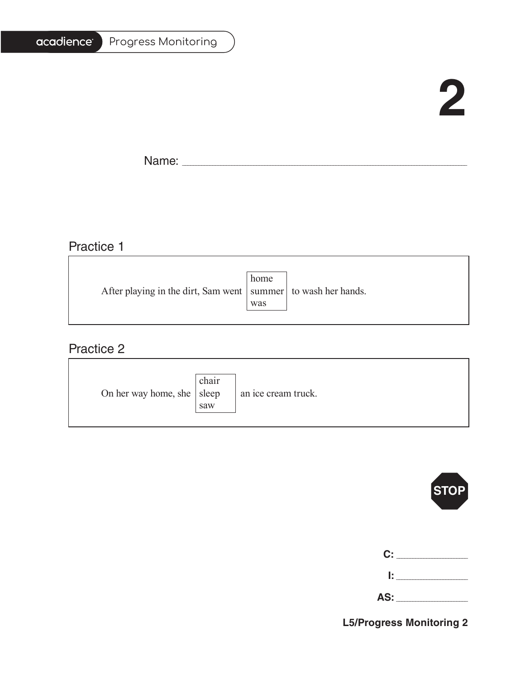| Progress Monitoring |
|---------------------|
|                     |

### **2**

Ē.

Name: \_\_\_\_\_\_\_\_\_\_\_\_\_\_\_\_\_\_\_\_\_\_\_\_\_\_\_\_\_\_\_\_\_\_\_\_\_\_\_\_\_\_\_\_\_\_\_\_\_\_\_\_\_\_\_\_\_\_\_\_\_\_\_\_\_\_\_\_\_\_\_\_\_\_\_\_\_\_\_\_\_\_\_\_\_\_\_\_\_\_\_\_\_\_\_\_\_\_\_\_\_\_\_

<u> 1980 - Johann Barbara, martxa alemaniar arg</u>

### Practice 1

|                                                                   | home |  |
|-------------------------------------------------------------------|------|--|
| After playing in the dirt, Sam went   summer   to wash her hands. |      |  |
|                                                                   | was  |  |
|                                                                   |      |  |

### Practice 2

| On her way home, she $ $ sleep | chair<br>saw | an ice cream truck. |
|--------------------------------|--------------|---------------------|
|--------------------------------|--------------|---------------------|



| C:  |  |
|-----|--|
| Ŀ   |  |
| AS: |  |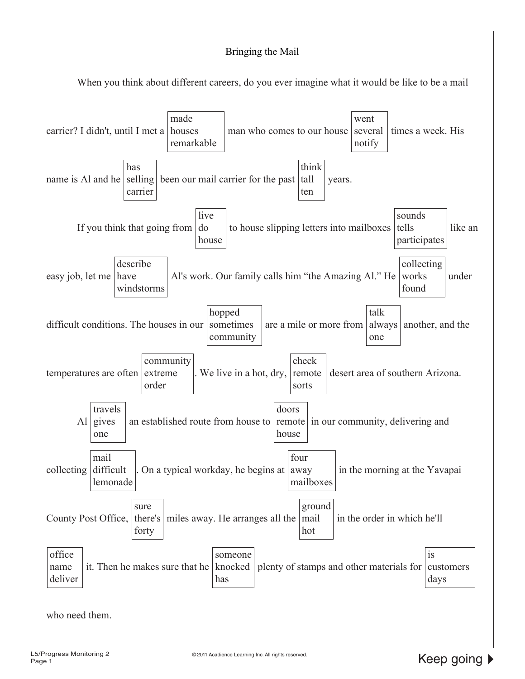#### Bringing the Mail



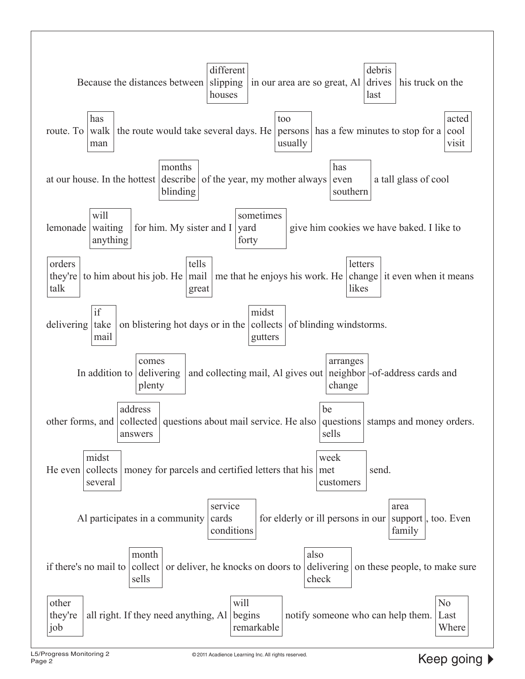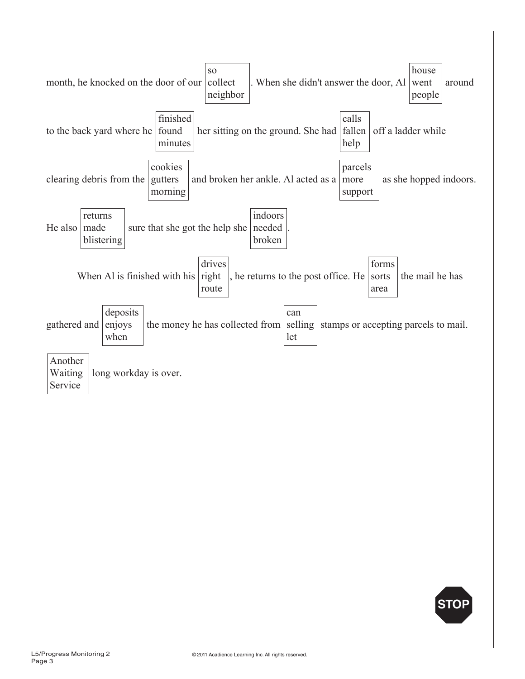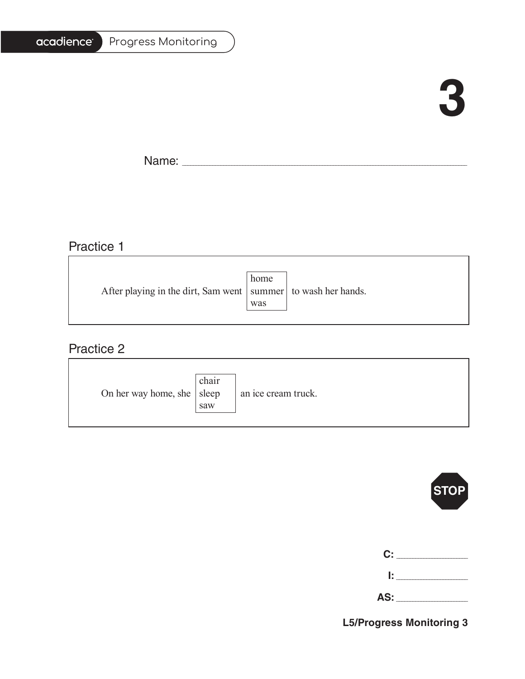| <b>Progress Monitoring</b> |
|----------------------------|
|                            |

# **3**

F.

Name: \_\_\_\_\_\_\_\_\_\_\_\_\_\_\_\_\_\_\_\_\_\_\_\_\_\_\_\_\_\_\_\_\_\_\_\_\_\_\_\_\_\_\_\_\_\_\_\_\_\_\_\_\_\_\_\_\_\_\_\_\_\_\_\_\_\_\_\_\_\_\_\_\_\_\_\_\_\_\_\_\_\_\_\_\_\_\_\_\_\_\_\_\_\_\_\_\_\_\_\_\_\_\_

### Practice 1

|                                                                   | home |  |
|-------------------------------------------------------------------|------|--|
| After playing in the dirt, Sam went   summer   to wash her hands. |      |  |
|                                                                   | was  |  |
|                                                                   |      |  |

### Practice 2

| On her way home, she $ $ sleep | chair<br>saw | an ice cream truck. |
|--------------------------------|--------------|---------------------|
|--------------------------------|--------------|---------------------|



| $\mathbf{C}$ : $\_$ |  |
|---------------------|--|
| Ŀ.                  |  |
|                     |  |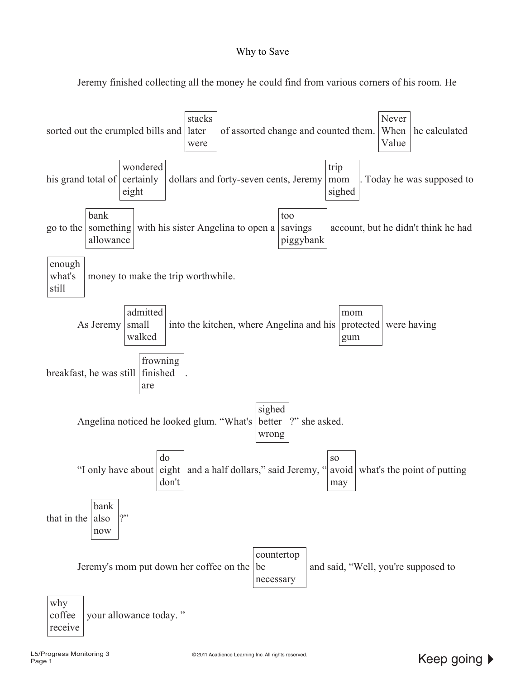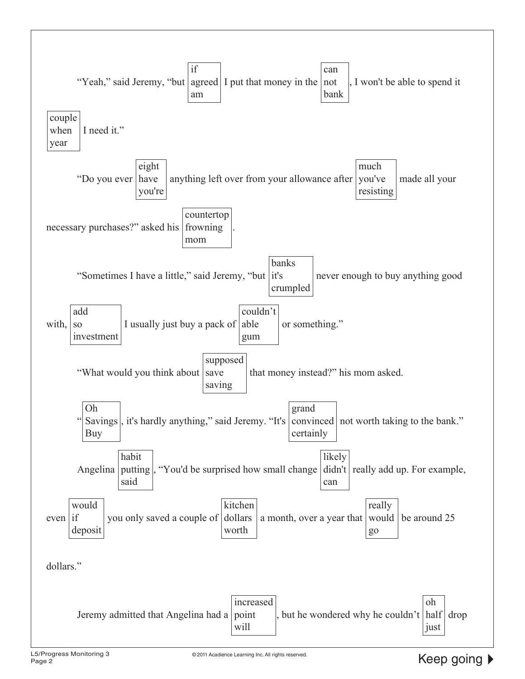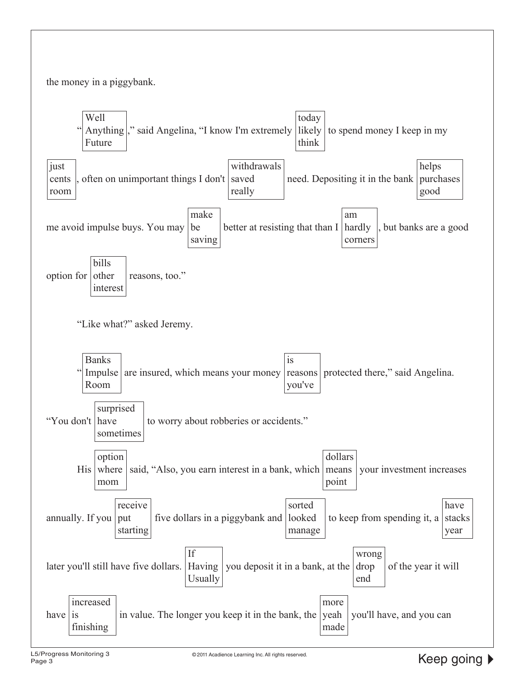

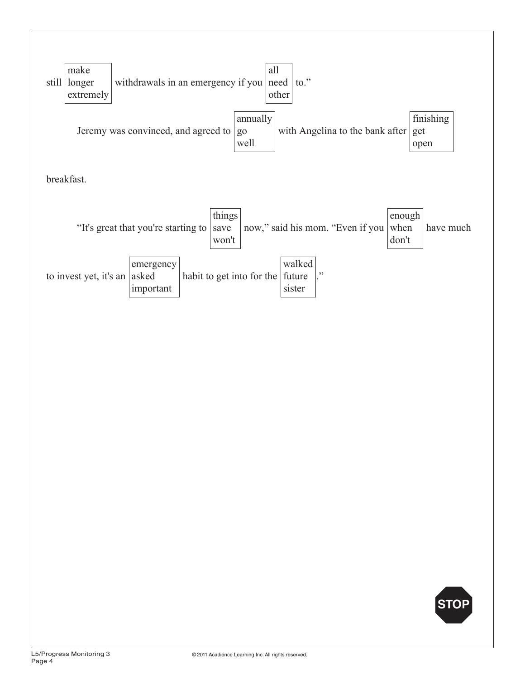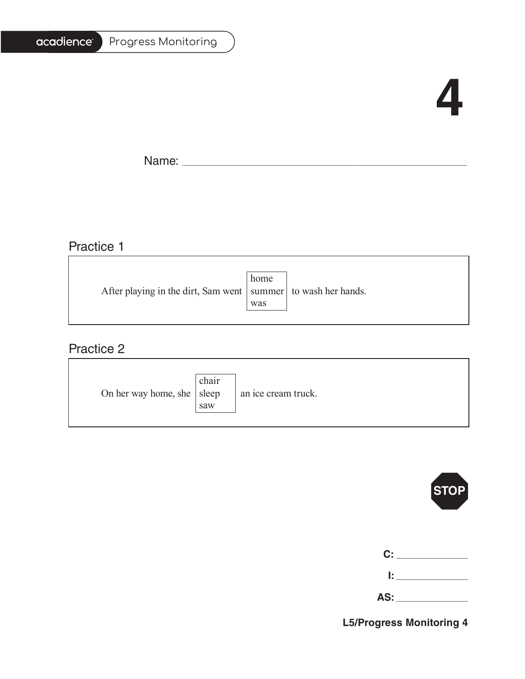| Progress Monitoring |  |
|---------------------|--|
|---------------------|--|

### **4**

Ē.

Name: \_\_\_\_\_\_\_\_\_\_\_\_\_\_\_\_\_\_\_\_\_\_\_\_\_\_\_\_\_\_\_\_\_\_\_\_\_\_\_\_\_\_\_\_\_\_\_\_\_\_\_\_\_\_\_\_\_\_\_\_\_\_\_\_\_\_\_\_\_\_\_\_\_\_\_\_\_\_\_\_\_\_\_\_\_\_\_\_\_\_\_\_\_\_\_\_\_\_\_\_\_\_\_

### Practice 1

|                                                                   | home |  |
|-------------------------------------------------------------------|------|--|
| After playing in the dirt, Sam went   summer   to wash her hands. |      |  |
|                                                                   | was  |  |
|                                                                   |      |  |

### Practice 2

| On her way home, she $ $ sleep | chair<br>saw | an ice cream truck. |
|--------------------------------|--------------|---------------------|
|--------------------------------|--------------|---------------------|



| C:    |  |
|-------|--|
| 1: 1  |  |
| AS: _ |  |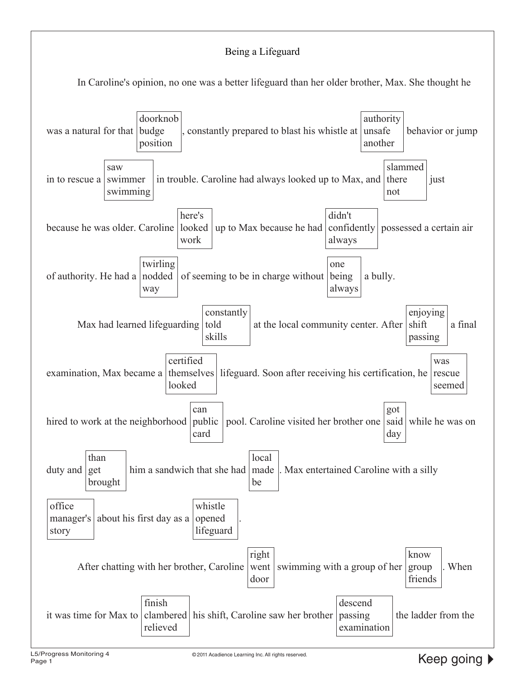#### Being a Lifeguard

In Caroline's opinion, no one was a better lifeguard than her older brother, Max. She thought he

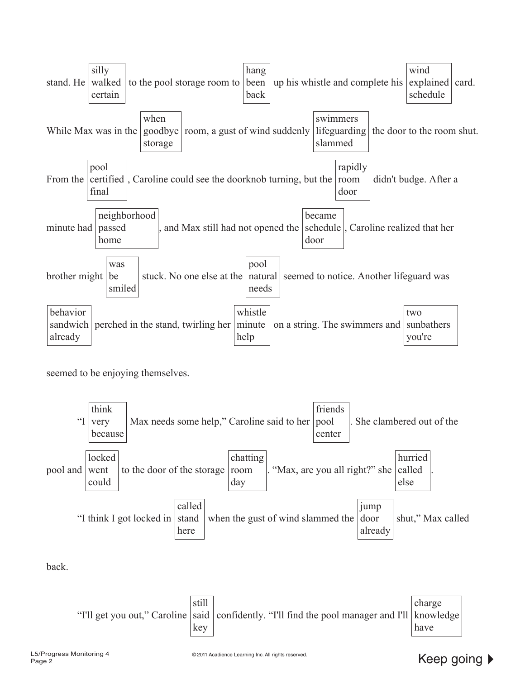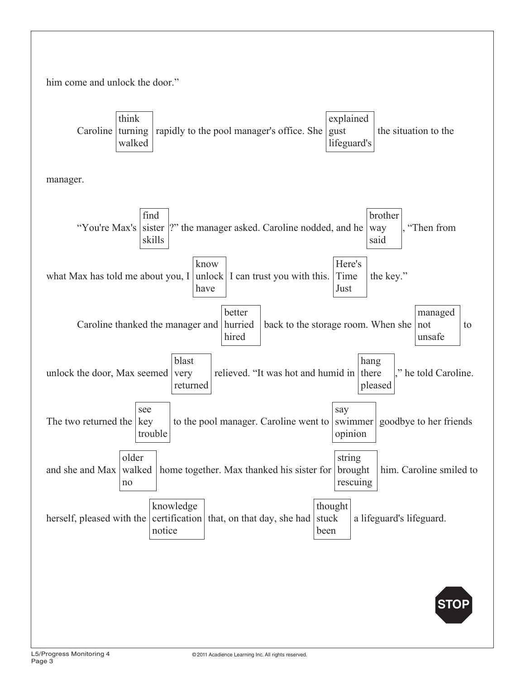

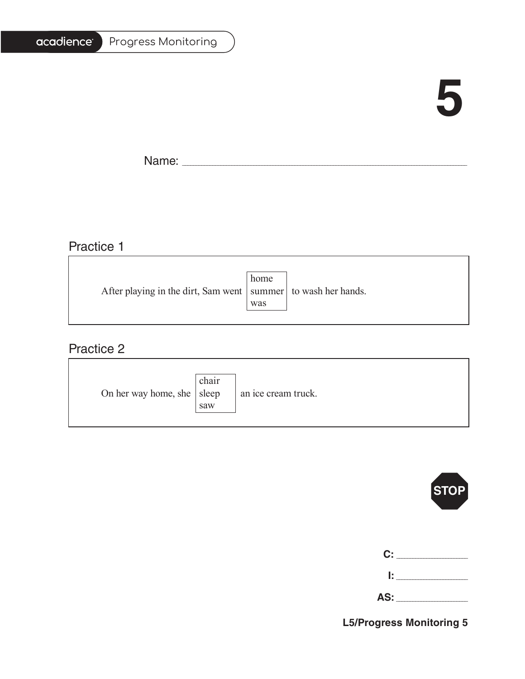| <b>Progress Monitoring</b> |
|----------------------------|
|                            |

### **5**

Ē.

Name: \_\_\_\_\_\_\_\_\_\_\_\_\_\_\_\_\_\_\_\_\_\_\_\_\_\_\_\_\_\_\_\_\_\_\_\_\_\_\_\_\_\_\_\_\_\_\_\_\_\_\_\_\_\_\_\_\_\_\_\_\_\_\_\_\_\_\_\_\_\_\_\_\_\_\_\_\_\_\_\_\_\_\_\_\_\_\_\_\_\_\_\_\_\_\_\_\_\_\_\_\_\_\_

### Practice 1

|                                                                   | home |  |
|-------------------------------------------------------------------|------|--|
| After playing in the dirt, Sam went   summer   to wash her hands. |      |  |
|                                                                   | was  |  |
|                                                                   |      |  |

### Practice 2

| On her way home, she $ $ sleep | chair<br>saw | an ice cream truck. |
|--------------------------------|--------------|---------------------|
|--------------------------------|--------------|---------------------|



| C:  |  |
|-----|--|
| Ŀ   |  |
| AS: |  |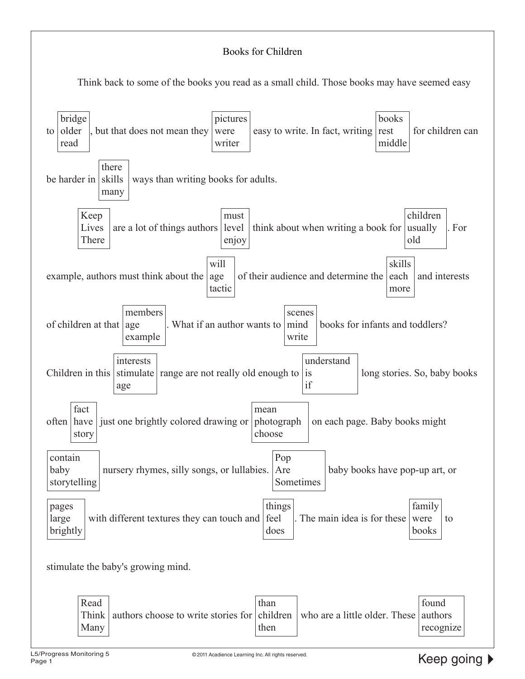#### Books for Children

Think back to some of the books you read as a small child. Those books may have seemed easy

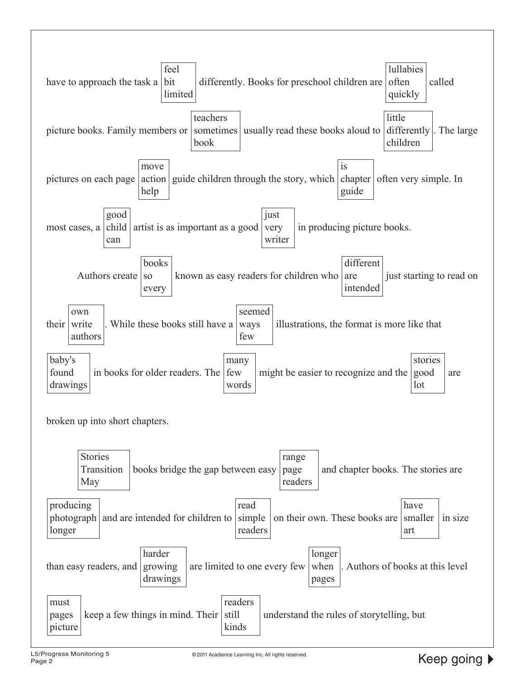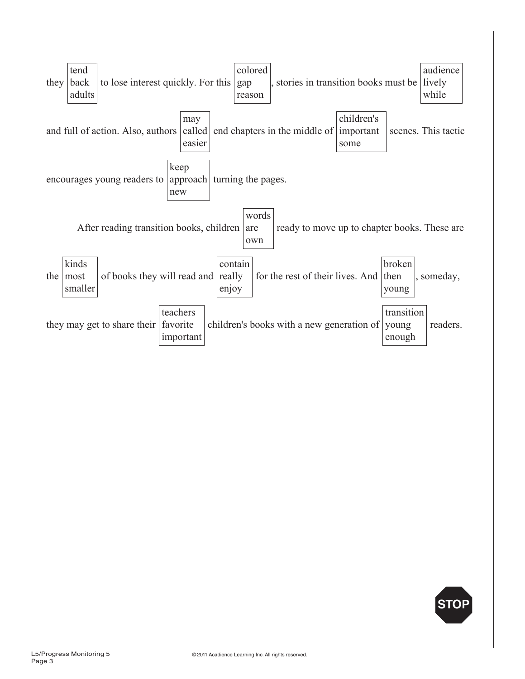

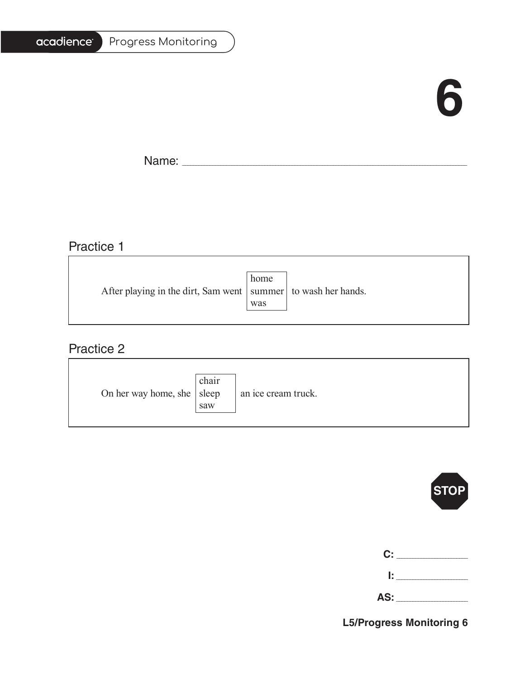### **6**

T.

Name: \_\_\_\_\_\_\_\_\_\_\_\_\_\_\_\_\_\_\_\_\_\_\_\_\_\_\_\_\_\_\_\_\_\_\_\_\_\_\_\_\_\_\_\_\_\_\_\_\_\_\_\_\_\_\_\_\_\_\_\_\_\_\_\_\_\_\_\_\_\_\_\_\_\_\_\_\_\_\_\_\_\_\_\_\_\_\_\_\_\_\_\_\_\_\_\_\_\_\_\_\_\_\_

<u> 1980 - Johann Barn, amerikansk politiker (</u>

### Practice 1

|                                                                   | home |  |
|-------------------------------------------------------------------|------|--|
| After playing in the dirt, Sam went   summer   to wash her hands. |      |  |
|                                                                   | was  |  |
|                                                                   |      |  |

<u> 1989 - Johann Stoff, deutscher Stoffen und der Stoffen und der Stoffen und der Stoffen und der Stoffen und der</u>

### Practice 2

| On her way home, she $ $ sleep | chair<br>saw | an ice cream truck. |
|--------------------------------|--------------|---------------------|
|--------------------------------|--------------|---------------------|



| $\mathbf{C}$ : $\_$ |  |
|---------------------|--|
| Ŀ.                  |  |
|                     |  |

| . .<br>-- |  |
|-----------|--|
|-----------|--|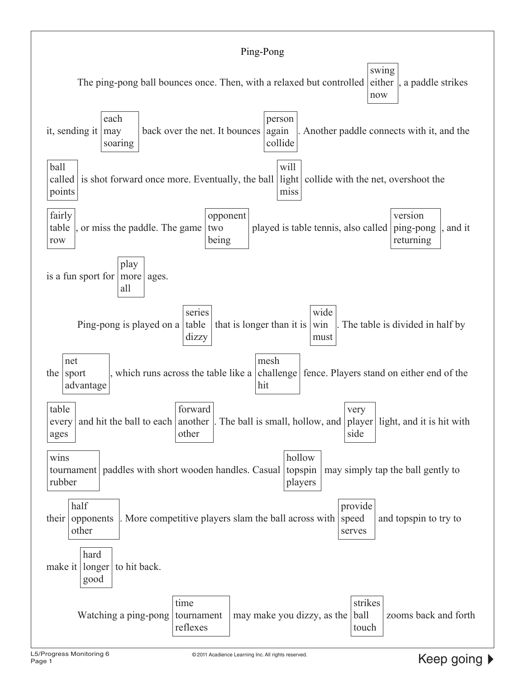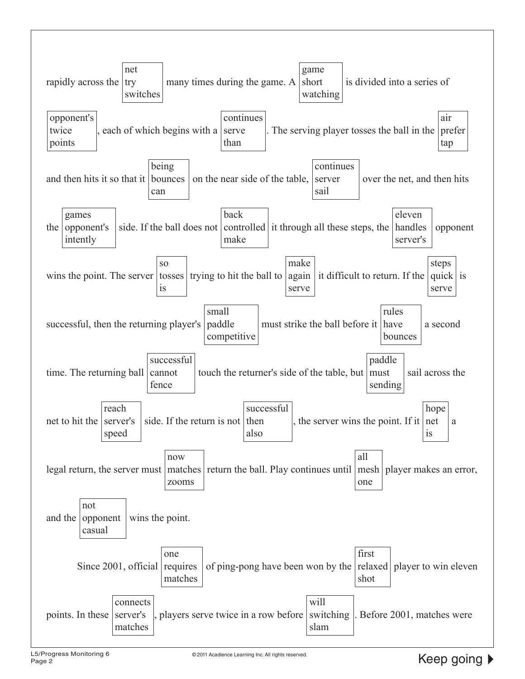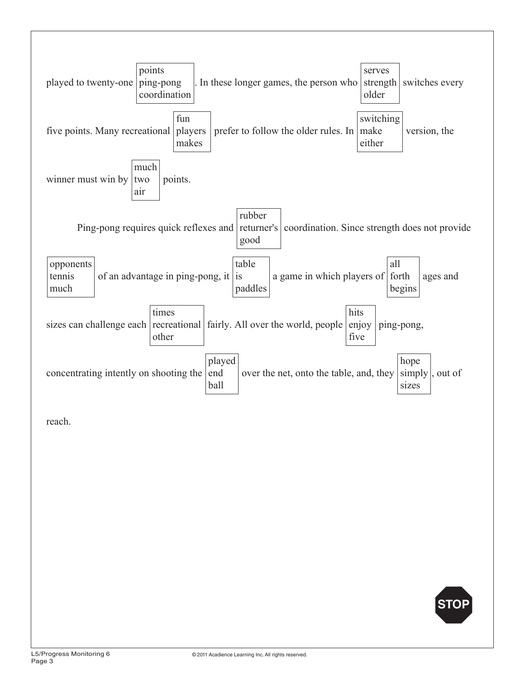

reach.

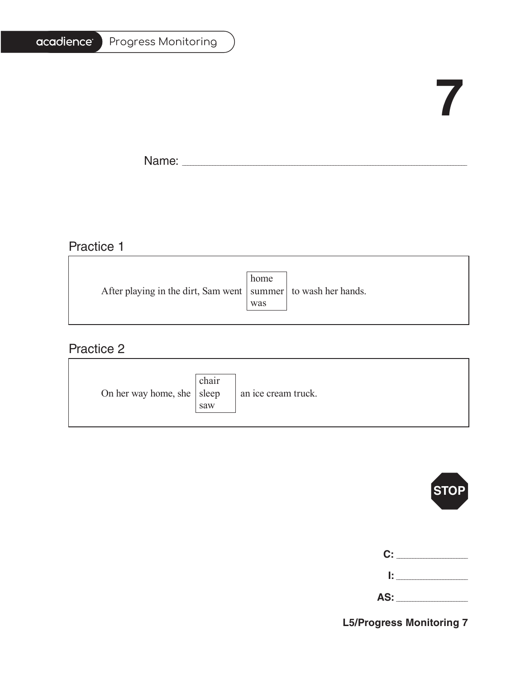#### Progress Monitoring

# **7**

Ē.

Name: \_\_\_\_\_\_\_\_\_\_\_\_\_\_\_\_\_\_\_\_\_\_\_\_\_\_\_\_\_\_\_\_\_\_\_\_\_\_\_\_\_\_\_\_\_\_\_\_\_\_\_\_\_\_\_\_\_\_\_\_\_\_\_\_\_\_\_\_\_\_\_\_\_\_\_\_\_\_\_\_\_\_\_\_\_\_\_\_\_\_\_\_\_\_\_\_\_\_\_\_\_\_\_

### Practice 1

|                                                                   | home |  |
|-------------------------------------------------------------------|------|--|
| After playing in the dirt, Sam went   summer   to wash her hands. |      |  |
|                                                                   | was  |  |
|                                                                   |      |  |

<u> 1989 - Johann Barbara, martxa alemaniar amerikan basar da a</u>

### Practice 2

| On her way home, she $ $ sleep | chair<br>saw | an ice cream truck. |
|--------------------------------|--------------|---------------------|
|--------------------------------|--------------|---------------------|



| C:   | the control of the con- |
|------|-------------------------|
| I: I |                         |

**AS:** \_\_\_\_\_\_\_\_\_\_\_\_\_\_\_\_\_\_\_\_\_\_\_\_\_\_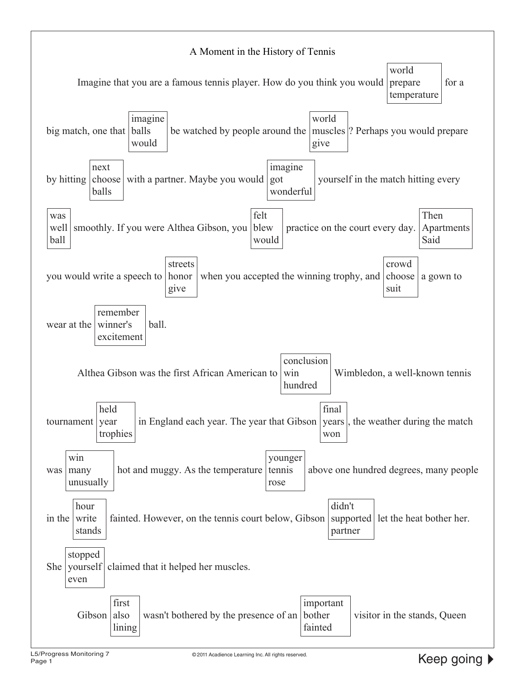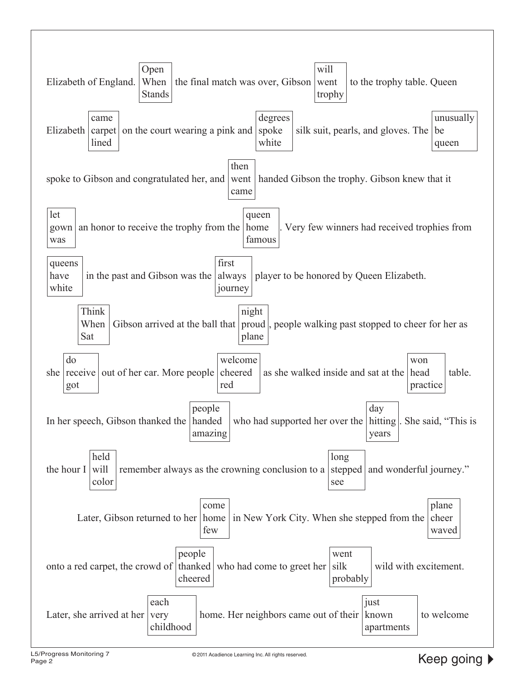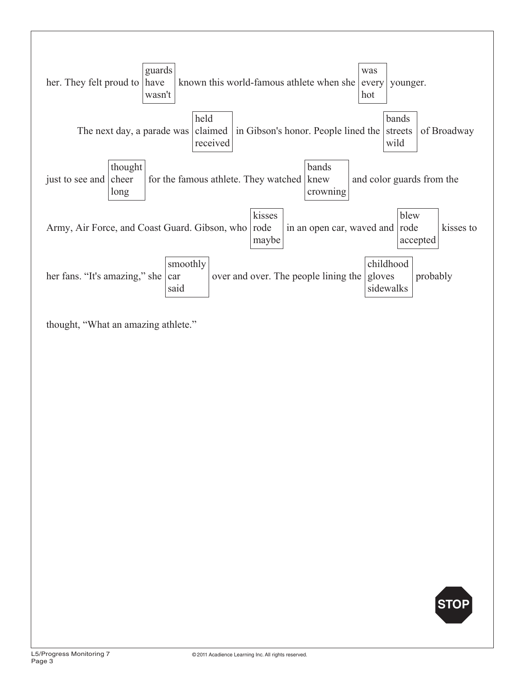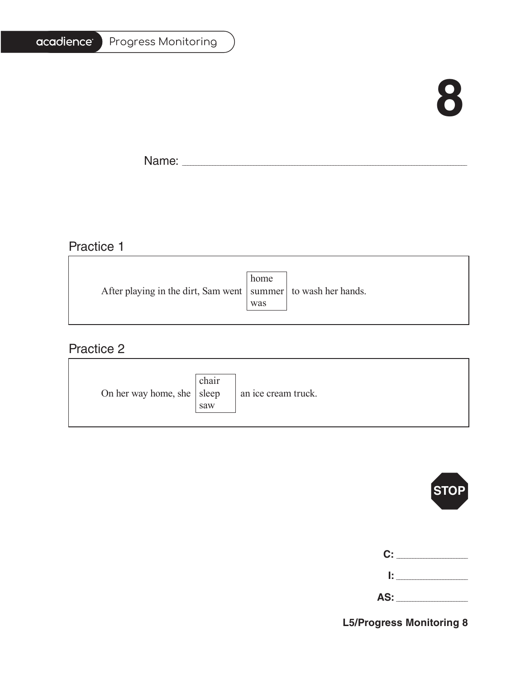### **8**

Ē.

Name: \_\_\_\_\_\_\_\_\_\_\_\_\_\_\_\_\_\_\_\_\_\_\_\_\_\_\_\_\_\_\_\_\_\_\_\_\_\_\_\_\_\_\_\_\_\_\_\_\_\_\_\_\_\_\_\_\_\_\_\_\_\_\_\_\_\_\_\_\_\_\_\_\_\_\_\_\_\_\_\_\_\_\_\_\_\_\_\_\_\_\_\_\_\_\_\_\_\_\_\_\_\_\_

<u> 1980 - Johann Barbara, martxa alemaniar amerikan a</u>

### Practice 1

|                                                                   | home |  |
|-------------------------------------------------------------------|------|--|
| After playing in the dirt, Sam went   summer   to wash her hands. |      |  |
|                                                                   | was  |  |
|                                                                   |      |  |

### Practice 2

| On her way home, she $ $ sleep | chair<br>saw | an ice cream truck. |
|--------------------------------|--------------|---------------------|
|--------------------------------|--------------|---------------------|



| C:  |  |
|-----|--|
| Ŀ   |  |
| AS: |  |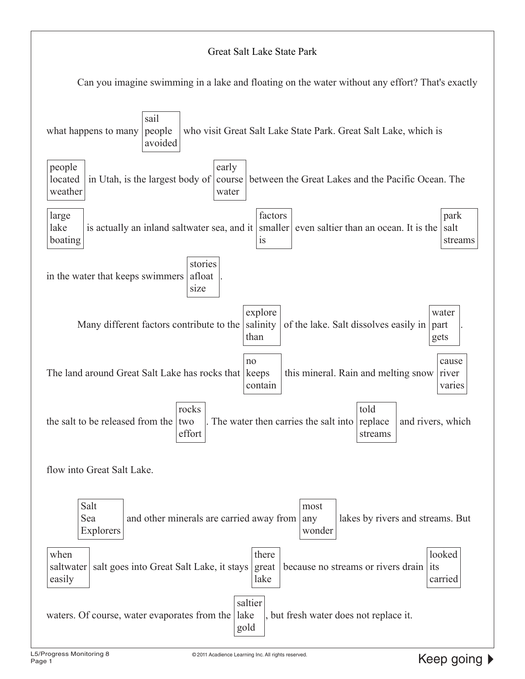#### Great Salt Lake State Park



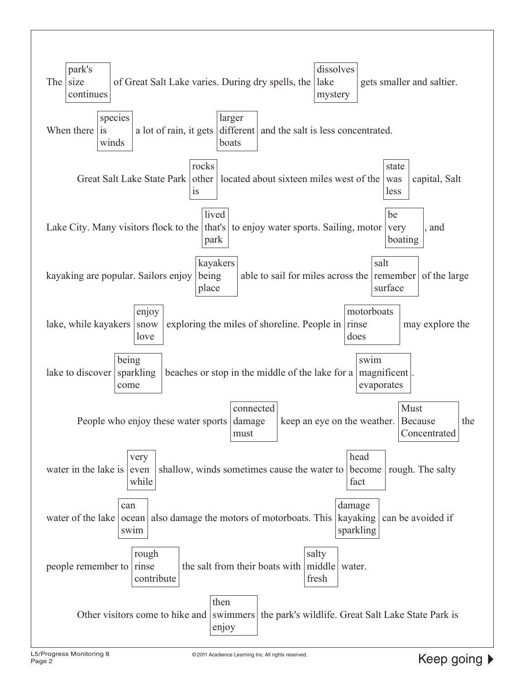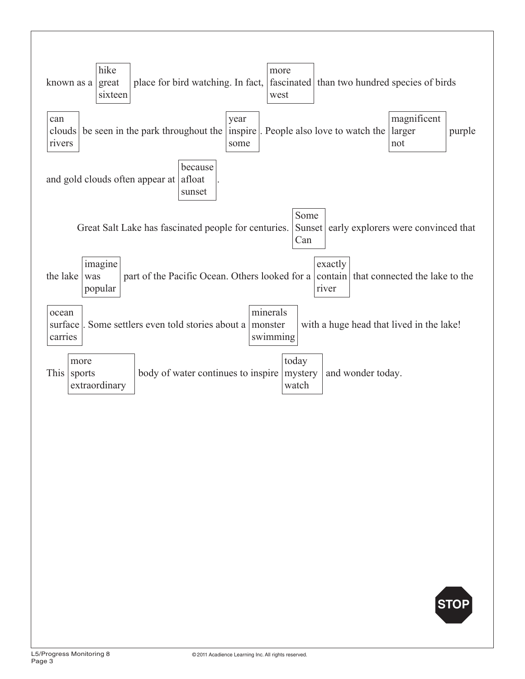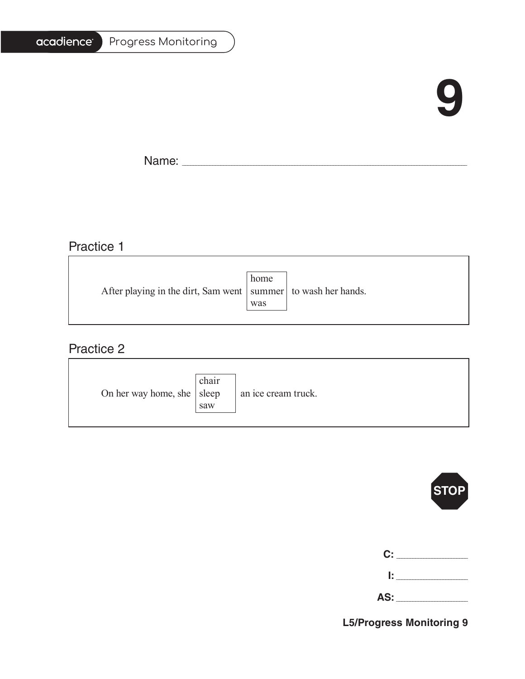### **9**

Ē.

Name: \_\_\_\_\_\_\_\_\_\_\_\_\_\_\_\_\_\_\_\_\_\_\_\_\_\_\_\_\_\_\_\_\_\_\_\_\_\_\_\_\_\_\_\_\_\_\_\_\_\_\_\_\_\_\_\_\_\_\_\_\_\_\_\_\_\_\_\_\_\_\_\_\_\_\_\_\_\_\_\_\_\_\_\_\_\_\_\_\_\_\_\_\_\_\_\_\_\_\_\_\_\_\_

<u> 1980 - Johann Barbara, martxa alemaniar amerikan a</u>

### Practice 1

|                                                                   | home |  |
|-------------------------------------------------------------------|------|--|
| After playing in the dirt, Sam went   summer   to wash her hands. |      |  |
|                                                                   | was  |  |
|                                                                   |      |  |

### Practice 2

| On her way home, she $ $ sleep | chair<br>saw | an ice cream truck. |
|--------------------------------|--------------|---------------------|
|--------------------------------|--------------|---------------------|



| C:  |  |
|-----|--|
| Ŀ.  |  |
| AS: |  |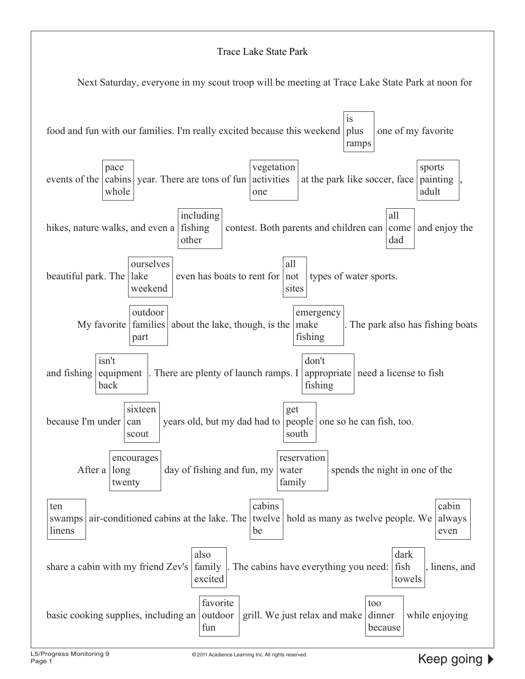#### Trace Lake State Park

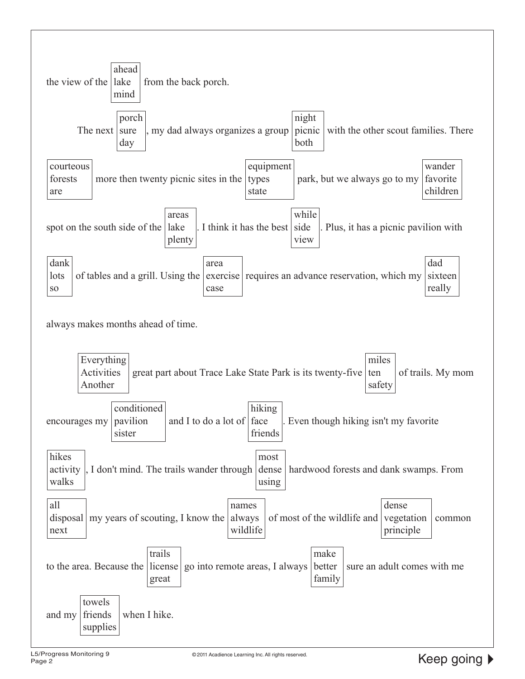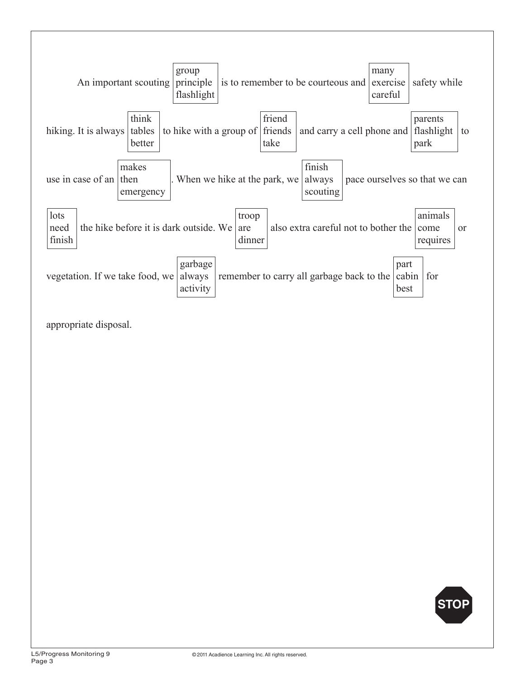

appropriate disposal.

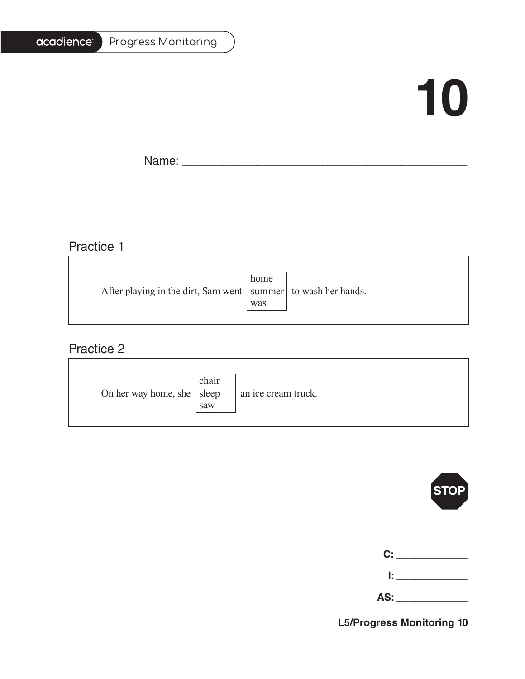#### Progress Monitoring

# **10**

T.

Name: \_\_\_\_\_\_\_\_\_\_\_\_\_\_\_\_\_\_\_\_\_\_\_\_\_\_\_\_\_\_\_\_\_\_\_\_\_\_\_\_\_\_\_\_\_\_\_\_\_\_\_\_\_\_\_\_\_\_\_\_\_\_\_\_\_\_\_\_\_\_\_\_\_\_\_\_\_\_\_\_\_\_\_\_\_\_\_\_\_\_\_\_\_\_\_\_\_\_\_\_\_\_\_

## Practice 1

|                                                                   | home |  |
|-------------------------------------------------------------------|------|--|
| After playing in the dirt, Sam went   summer   to wash her hands. |      |  |
|                                                                   | was  |  |
|                                                                   |      |  |

<u> 1989 - Johann Barbara, martxa alemaniar amerikan basar da a</u>

### Practice 2

| On her way home, she $ $ sleep | chair<br>saw | an ice cream truck. |
|--------------------------------|--------------|---------------------|
|--------------------------------|--------------|---------------------|



| C:  |  |
|-----|--|
| Ŀ.  |  |
| AS: |  |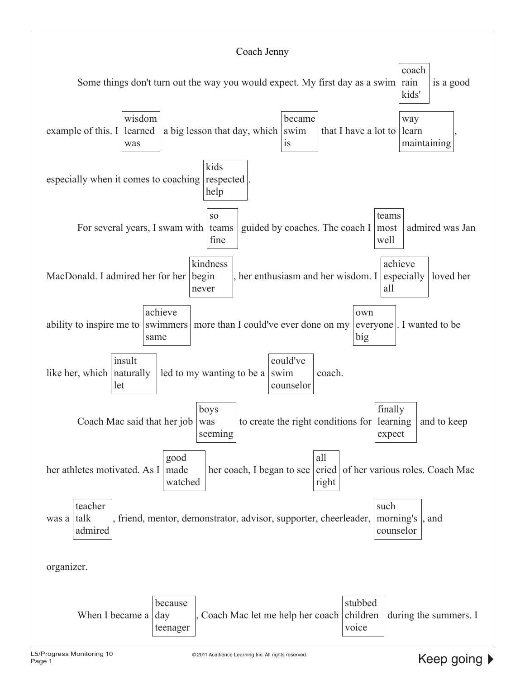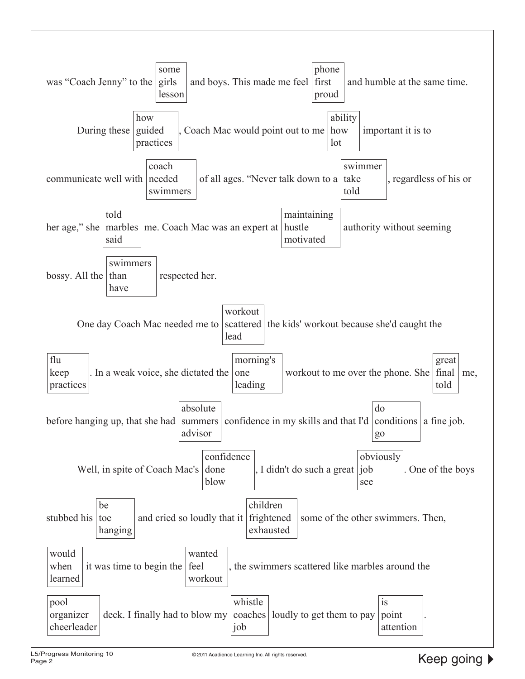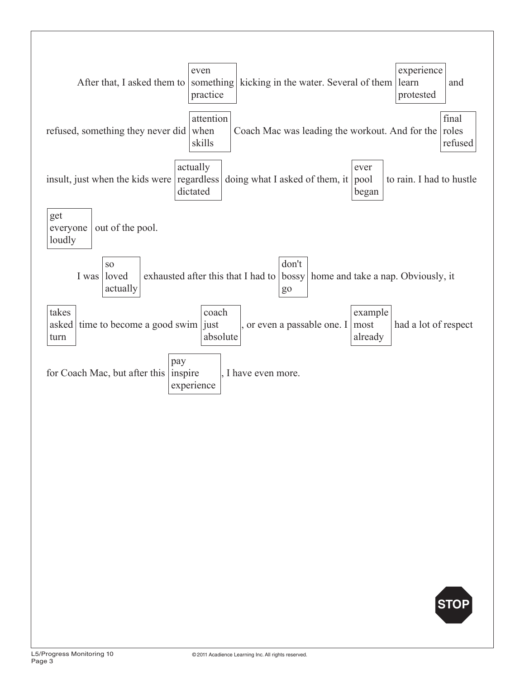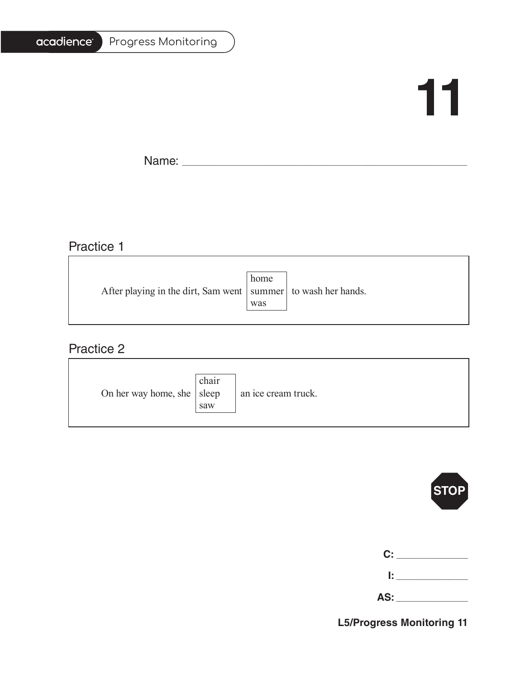#### Progress Monitoring

## **11**

Ē.

Name: \_\_\_\_\_\_\_\_\_\_\_\_\_\_\_\_\_\_\_\_\_\_\_\_\_\_\_\_\_\_\_\_\_\_\_\_\_\_\_\_\_\_\_\_\_\_\_\_\_\_\_\_\_\_\_\_\_\_\_\_\_\_\_\_\_\_\_\_\_\_\_\_\_\_\_\_\_\_\_\_\_\_\_\_\_\_\_\_\_\_\_\_\_\_\_\_\_\_\_\_\_\_\_

### Practice 1

|                                                                   | home |  |
|-------------------------------------------------------------------|------|--|
| After playing in the dirt, Sam went   summer   to wash her hands. |      |  |
|                                                                   | was  |  |
|                                                                   |      |  |

<u> 1989 - Johann Barbara, martxa alemaniar amerikan basar da a</u>

### Practice 2

| On her way home, she $ $ sleep | chair<br>saw | an ice cream truck. |
|--------------------------------|--------------|---------------------|
|--------------------------------|--------------|---------------------|



| C:  |  |
|-----|--|
| Ŀ.  |  |
| AS: |  |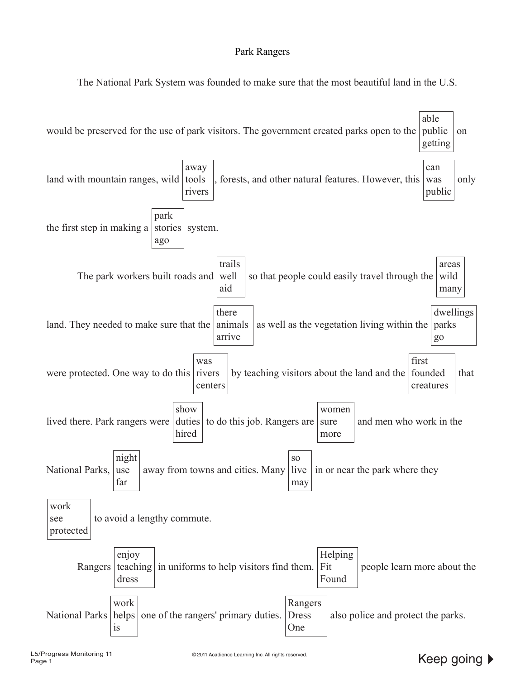#### Park Rangers

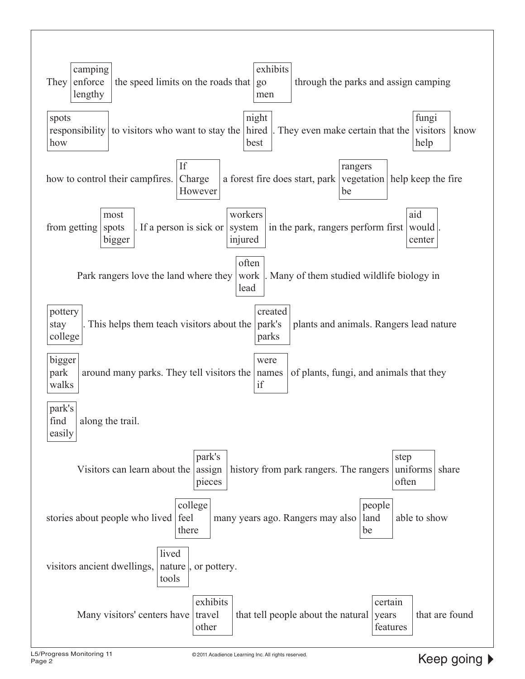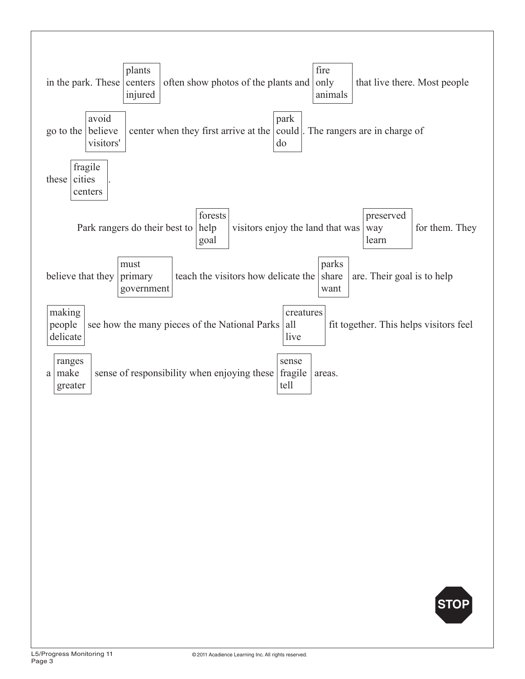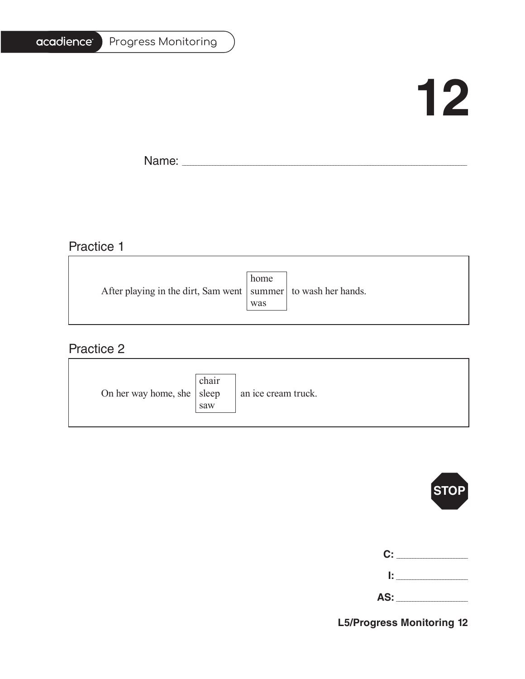#### Progress Monitoring

## **12**

T.

 $\overline{\phantom{0}}$ 

Name: \_\_\_\_\_\_\_\_\_\_\_\_\_\_\_\_\_\_\_\_\_\_\_\_\_\_\_\_\_\_\_\_\_\_\_\_\_\_\_\_\_\_\_\_\_\_\_\_\_\_\_\_\_\_\_\_\_\_\_\_\_\_\_\_\_\_\_\_\_\_\_\_\_\_\_\_\_\_\_\_\_\_\_\_\_\_\_\_\_\_\_\_\_\_\_\_\_\_\_\_\_\_\_

### Practice 1

|     | After playing in the dirt, Sam went   summer   to wash her hands. |
|-----|-------------------------------------------------------------------|
| was |                                                                   |
|     | home                                                              |

<u> 1989 - Johann Stoff, deutscher Stoffen und der Stoffen und der Stoffen und der Stoffen und der Stoffen und der</u>

### Practice 2

| On her way home, she $ $ sleep | chair<br>saw | an ice cream truck. |
|--------------------------------|--------------|---------------------|
|--------------------------------|--------------|---------------------|



| C:  |  |
|-----|--|
| Ŀ.  |  |
| AS: |  |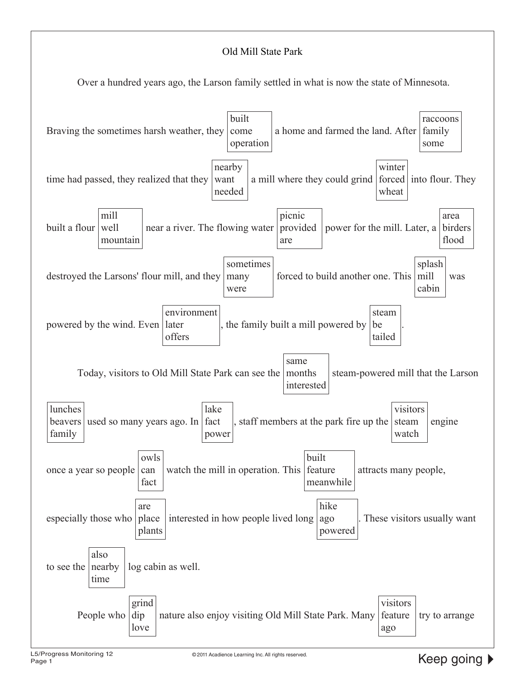#### Old Mill State Park

Over a hundred years ago, the Larson family settled in what is now the state of Minnesota.

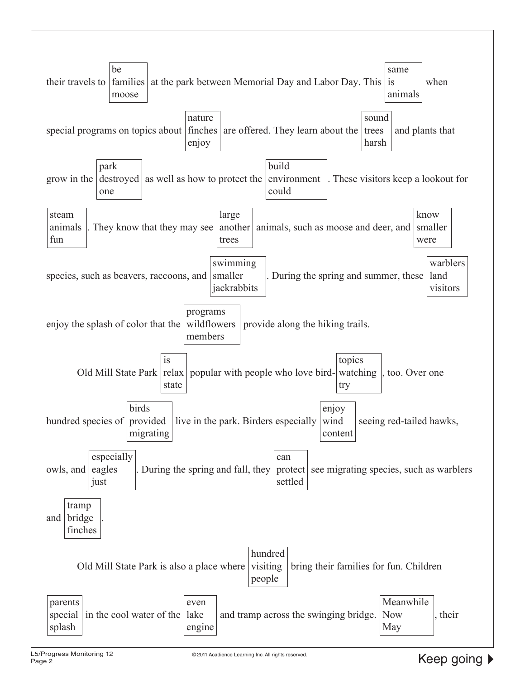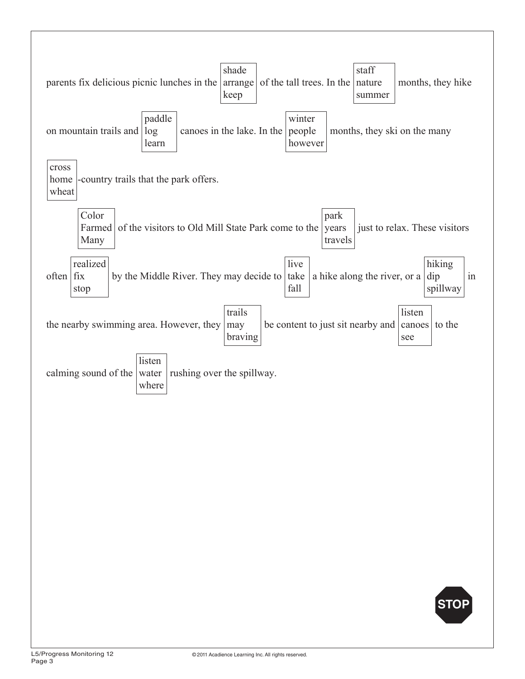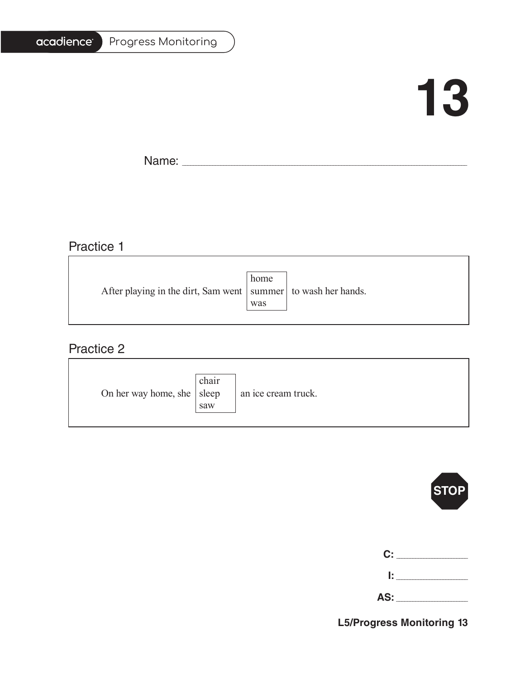#### Progress Monitoring

## **13**

T.

Name: \_\_\_\_\_\_\_\_\_\_\_\_\_\_\_\_\_\_\_\_\_\_\_\_\_\_\_\_\_\_\_\_\_\_\_\_\_\_\_\_\_\_\_\_\_\_\_\_\_\_\_\_\_\_\_\_\_\_\_\_\_\_\_\_\_\_\_\_\_\_\_\_\_\_\_\_\_\_\_\_\_\_\_\_\_\_\_\_\_\_\_\_\_\_\_\_\_\_\_\_\_\_\_

### Practice 1

|                                                                   | home |  |
|-------------------------------------------------------------------|------|--|
| After playing in the dirt, Sam went   summer   to wash her hands. |      |  |
|                                                                   | was  |  |
|                                                                   |      |  |

<u> 1989 - Johann Stoff, deutscher Stoffen und der Stoffen und der Stoffen und der Stoffen und der Stoffen und der</u>

### Practice 2

| On her way home, she $ $ sleep | chair<br>saw | an ice cream truck. |
|--------------------------------|--------------|---------------------|
|--------------------------------|--------------|---------------------|



| C: C |        |
|------|--------|
|      | lt i v |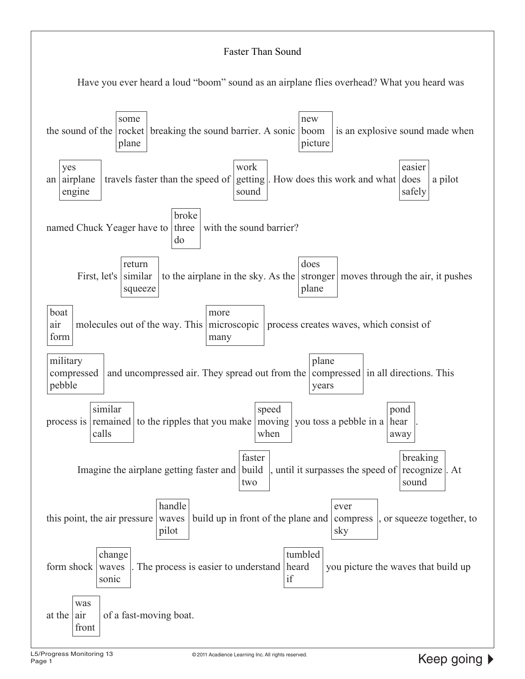#### Faster Than Sound Have you ever heard a loud "boom" sound as an airplane flies overhead? What you heard was the sound of the  $\vert$  rocket some plane breaking the sound barrier. A sonic boom new picture is an explosive sound made when an airplane yes engine travels faster than the speed of work getting . How does this work and what does sound easier safely a pilot named Chuck Yeager have to three broke do with the sound barrier? First, let's return similar squeeze to the airplane in the sky. As the does stronger moves through the air, it pushes plane boat air form molecules out of the way. This microscopic more many process creates waves, which consist of military compressed pebble and uncompressed air. They spread out from the plane compressed in all directions. This years process is remained similar calls to the ripples that you make speed moving you toss a pebble in a when pond hear away . Imagine the airplane getting faster and build faster two , until it surpasses the speed of  $|$  recognize  $|$ . At breaking sound this point, the air pressure handle waves pilot build up in front of the plane and ever compress sky or squeeze together, to form shock change waves sonic The process is easier to understand tumbled heard if you picture the waves that build up at the was air front of a fast-moving boat.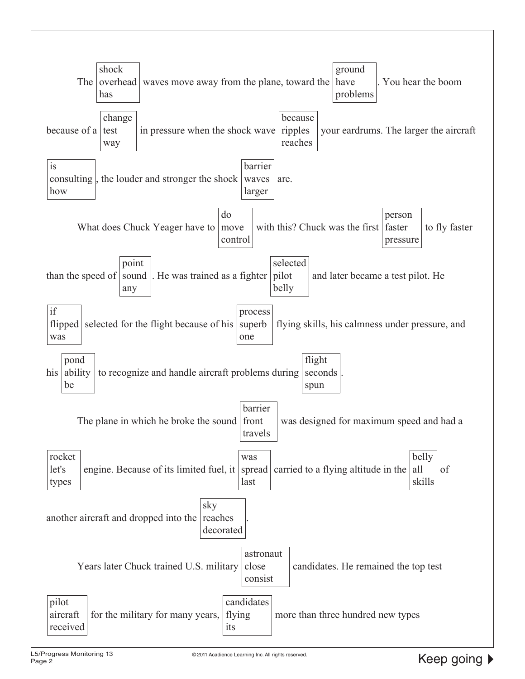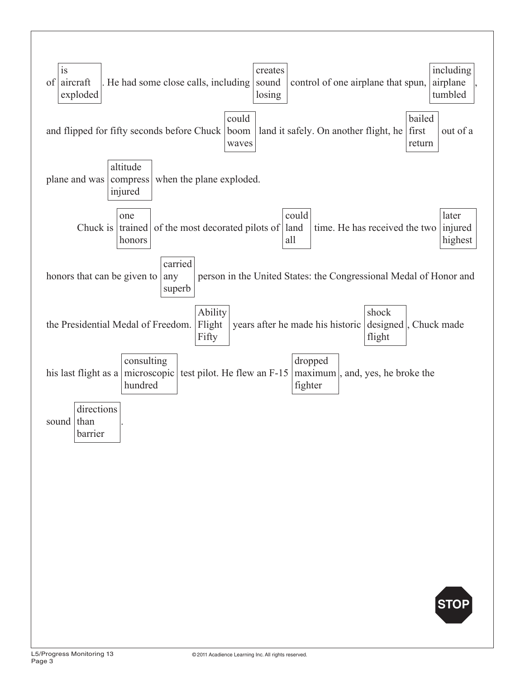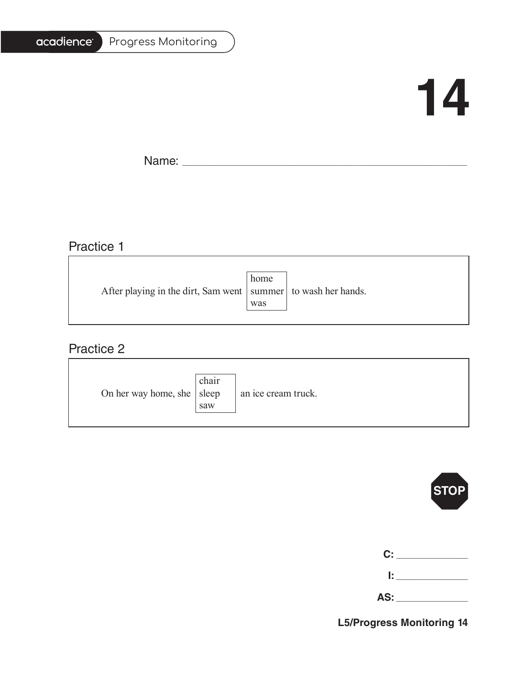#### Progress Monitoring

## **14**

T.

Name: \_\_\_\_\_\_\_\_\_\_\_\_\_\_\_\_\_\_\_\_\_\_\_\_\_\_\_\_\_\_\_\_\_\_\_\_\_\_\_\_\_\_\_\_\_\_\_\_\_\_\_\_\_\_\_\_\_\_\_\_\_\_\_\_\_\_\_\_\_\_\_\_\_\_\_\_\_\_\_\_\_\_\_\_\_\_\_\_\_\_\_\_\_\_\_\_\_\_\_\_\_\_\_

### Practice 1

|     | After playing in the dirt, Sam went   summer   to wash her hands. |
|-----|-------------------------------------------------------------------|
| was |                                                                   |
|     | home                                                              |

<u> 1989 - Johann Stoff, deutscher Stoffen und der Stoffen und der Stoffen und der Stoffen und der Stoffen und der</u>

### Practice 2

| On her way home, she $ $ sleep | chair<br>saw | an ice cream truck. |
|--------------------------------|--------------|---------------------|
|--------------------------------|--------------|---------------------|



| C:  |  |
|-----|--|
| Ŀ   |  |
| AS: |  |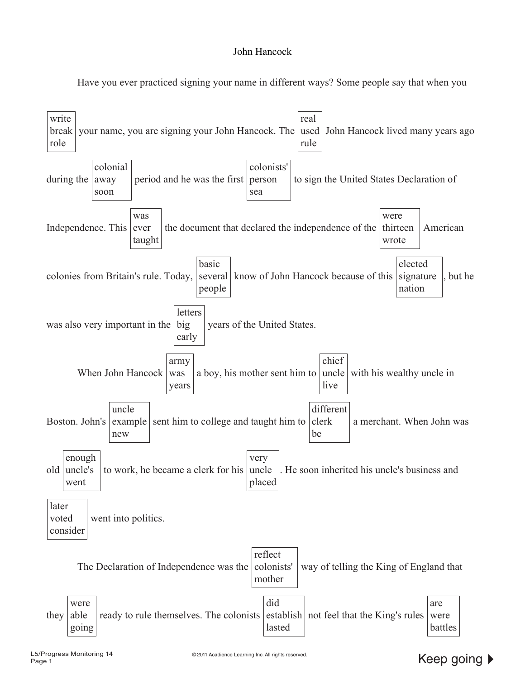#### John Hancock

Have you ever practiced signing your name in different ways? Some people say that when you

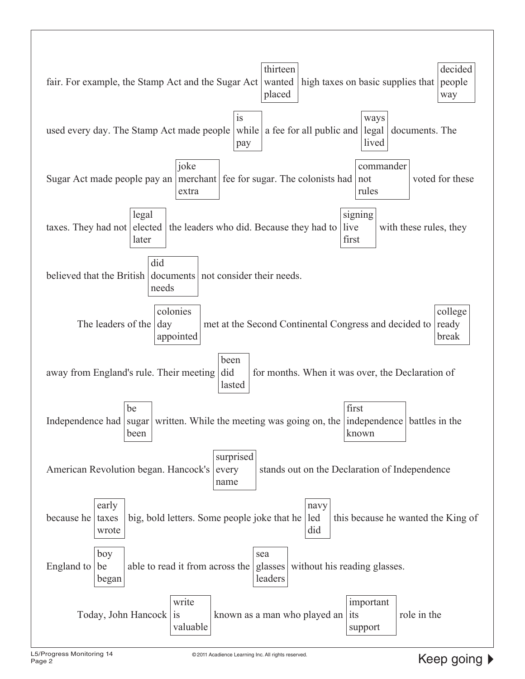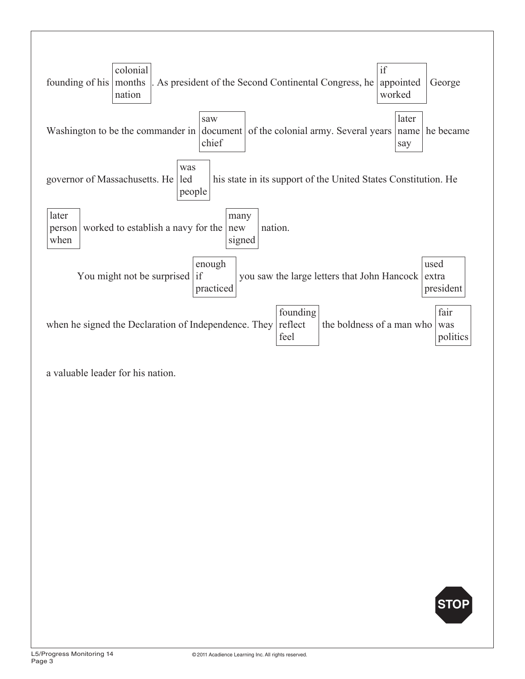

a valuable leader for his nation.

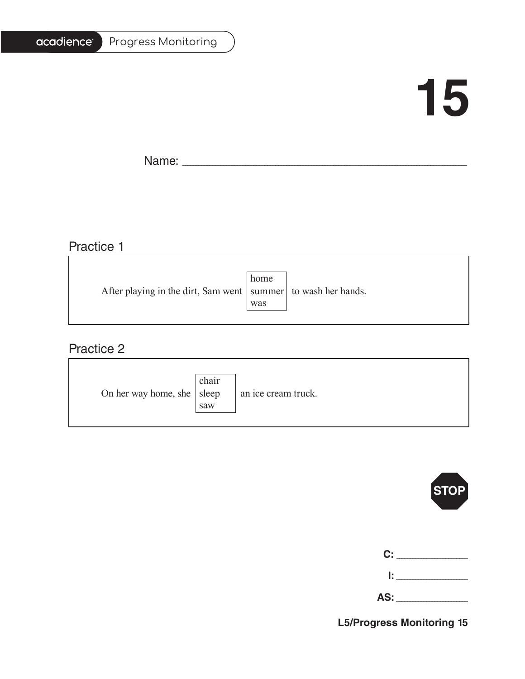#### Progress Monitoring

## **15**

T.

Name: \_\_\_\_\_\_\_\_\_\_\_\_\_\_\_\_\_\_\_\_\_\_\_\_\_\_\_\_\_\_\_\_\_\_\_\_\_\_\_\_\_\_\_\_\_\_\_\_\_\_\_\_\_\_\_\_\_\_\_\_\_\_\_\_\_\_\_\_\_\_\_\_\_\_\_\_\_\_\_\_\_\_\_\_\_\_\_\_\_\_\_\_\_\_\_\_\_\_\_\_\_\_\_

### Practice 1

|                                                                   | home |  |
|-------------------------------------------------------------------|------|--|
| After playing in the dirt, Sam went   summer   to wash her hands. |      |  |
|                                                                   | was  |  |
|                                                                   |      |  |

<u> 1989 - Johann Stoff, deutscher Stoffen und der Stoffen und der Stoffen und der Stoffen und der Stoffen und der</u>

### Practice 2

| On her way home, she $ $ sleep | chair<br>saw | an ice cream truck. |
|--------------------------------|--------------|---------------------|
|--------------------------------|--------------|---------------------|



| C:  |  |
|-----|--|
| Ŀ.  |  |
| AS: |  |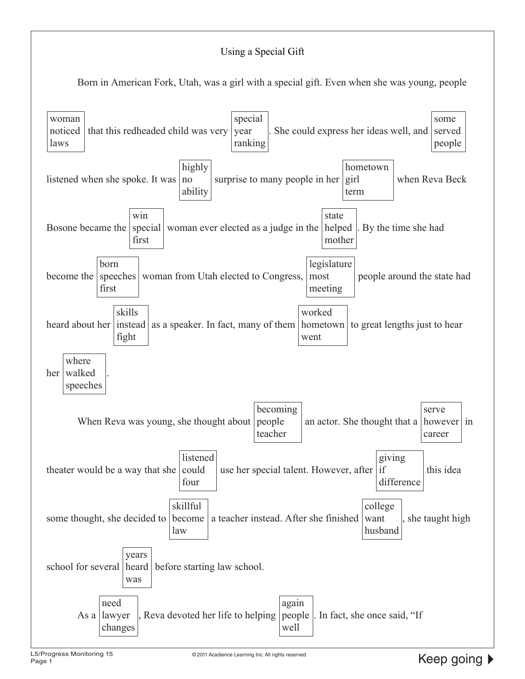#### Using a Special Gift

Born in American Fork, Utah, was a girl with a special gift. Even when she was young, people

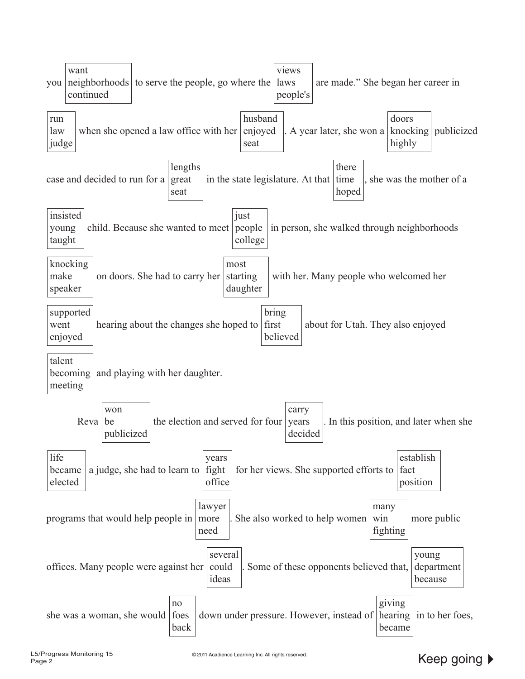| views<br>want<br>neighborhoods to serve the people, go where the<br>are made." She began her career in<br>laws<br>you<br>continued<br>people's                       |  |  |  |
|----------------------------------------------------------------------------------------------------------------------------------------------------------------------|--|--|--|
| husband<br>doors<br>run<br>enjoyed<br>knocking<br>when she opened a law office with her<br>. A year later, she won a<br>publicized<br>law<br>highly<br>judge<br>seat |  |  |  |
| lengths<br>there<br>case and decided to run for a<br>great<br>in the state legislature. At that<br>time<br>she was the mother of a<br>hoped<br>seat                  |  |  |  |
| insisted<br>just<br>child. Because she wanted to meet<br>in person, she walked through neighborhoods<br>people<br>young<br>taught<br>college                         |  |  |  |
| knocking<br>most<br>make<br>on doors. She had to carry her<br>starting<br>with her. Many people who welcomed her<br>speaker<br>daughter                              |  |  |  |
| bring<br>supported<br>first<br>hearing about the changes she hoped to<br>about for Utah. They also enjoyed<br>went<br>believed<br>enjoyed                            |  |  |  |
| talent<br>becoming<br>and playing with her daughter.<br>meeting                                                                                                      |  |  |  |
| won<br>carry<br>the election and served for four<br>. In this position, and later when she<br>Reva<br>years<br>be<br>publicized<br>decided                           |  |  |  |
| life<br>establish<br>years<br>fight<br>for her views. She supported efforts to $ $ fact<br>a judge, she had to learn to<br>became<br>office<br>elected<br>position   |  |  |  |
| lawyer<br>many<br>programs that would help people in<br>She also worked to help women<br>win<br>more public<br>more<br>fighting<br>need                              |  |  |  |
| several<br>young<br>offices. Many people were against her could<br>Some of these opponents believed that,<br>department<br>ideas<br>because                          |  |  |  |
| giving<br>no<br>she was a woman, she would foes<br>down under pressure. However, instead of<br>hearing<br>in to her foes,<br>back<br>became                          |  |  |  |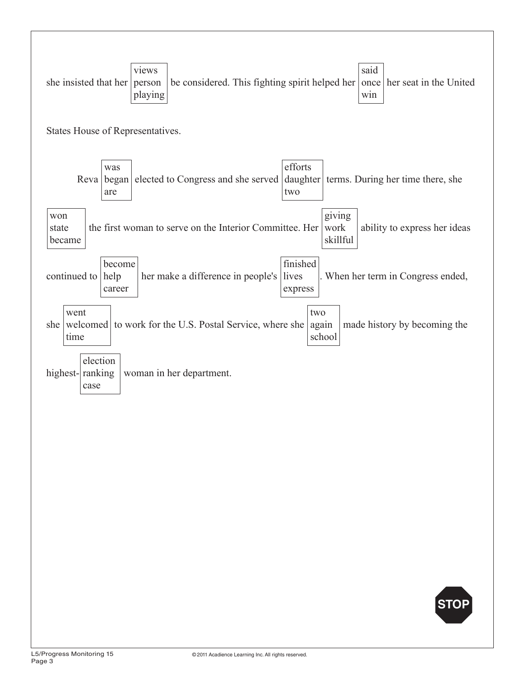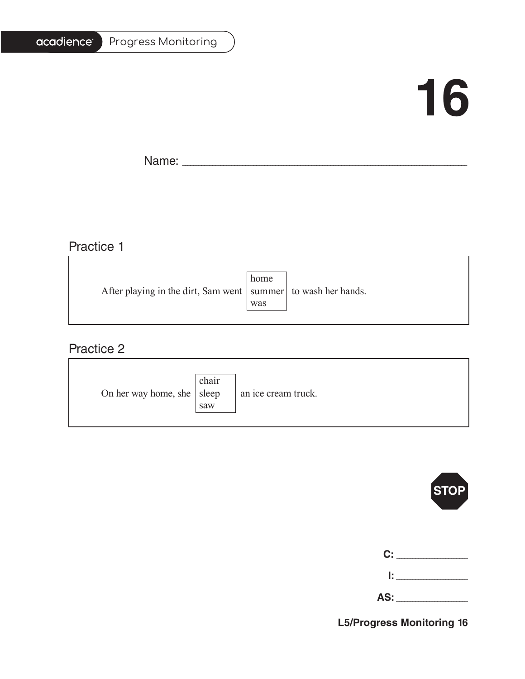#### Progress Monitoring

## **16**

T.

Name: \_\_\_\_\_\_\_\_\_\_\_\_\_\_\_\_\_\_\_\_\_\_\_\_\_\_\_\_\_\_\_\_\_\_\_\_\_\_\_\_\_\_\_\_\_\_\_\_\_\_\_\_\_\_\_\_\_\_\_\_\_\_\_\_\_\_\_\_\_\_\_\_\_\_\_\_\_\_\_\_\_\_\_\_\_\_\_\_\_\_\_\_\_\_\_\_\_\_\_\_\_\_\_

### Practice 1

|                                                                   | home |  |
|-------------------------------------------------------------------|------|--|
| After playing in the dirt, Sam went   summer   to wash her hands. |      |  |
|                                                                   | was  |  |
|                                                                   |      |  |

<u> 1989 - Johann Barbara, martxa alemaniar amerikan basar da a</u>

### Practice 2

| On her way home, she $ $ sleep | chair<br>saw | an ice cream truck. |
|--------------------------------|--------------|---------------------|
|--------------------------------|--------------|---------------------|



| C: C |        |
|------|--------|
|      | lt i v |

**AS:** \_\_\_\_\_\_\_\_\_\_\_\_\_\_\_\_\_\_\_\_\_\_\_\_\_\_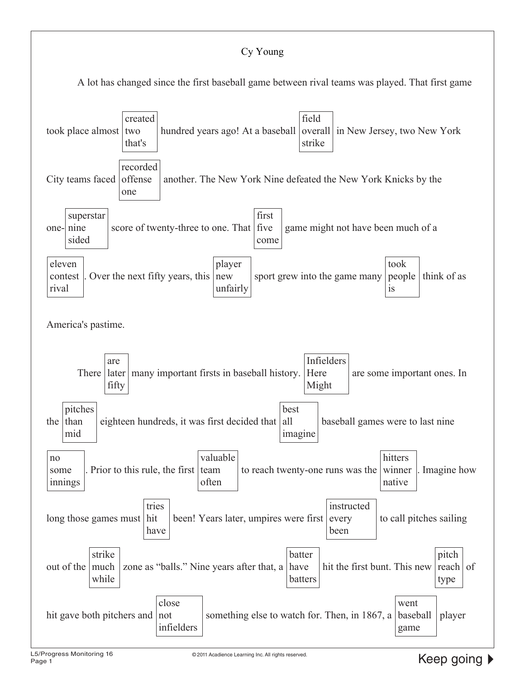### Cy Young

A lot has changed since the first baseball game between rival teams was played. That first game

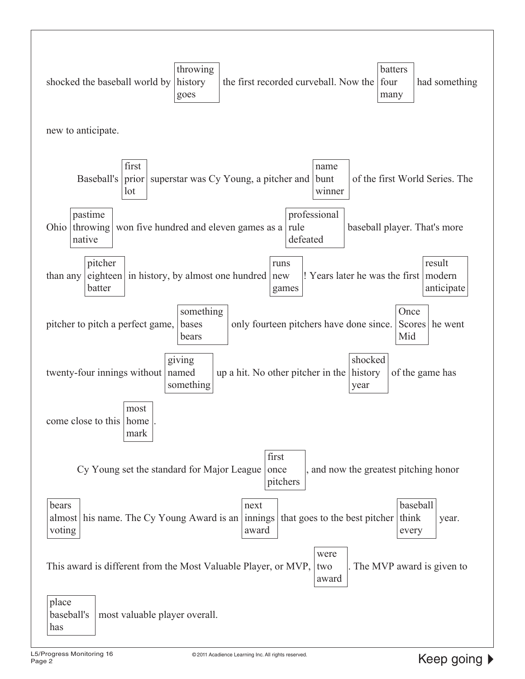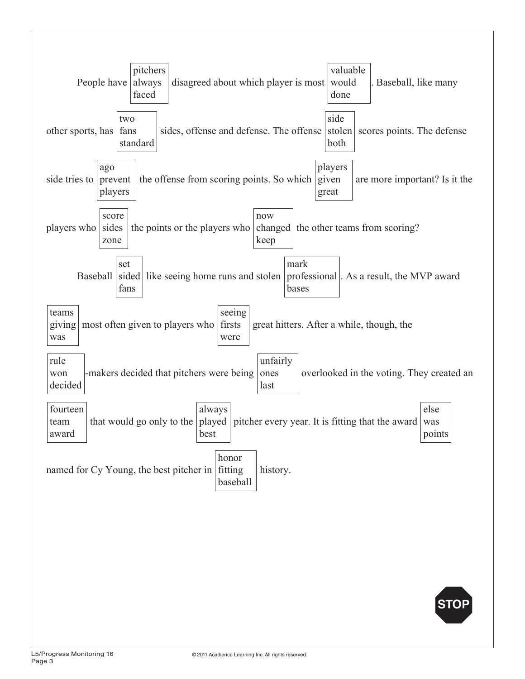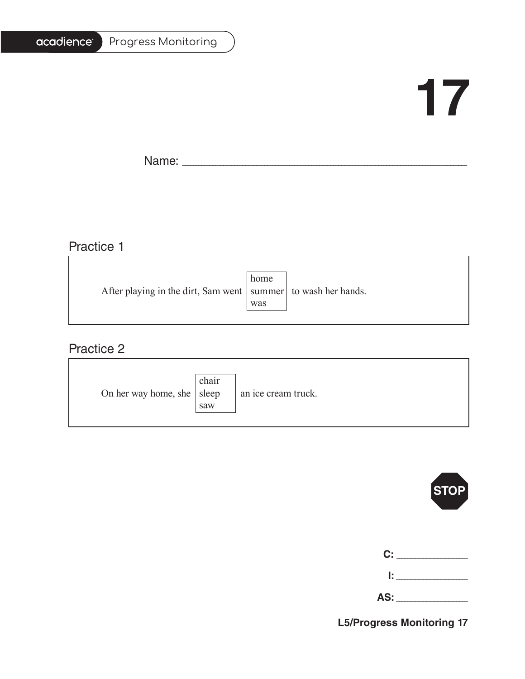#### Progress Monitoring

## **17**

T.

Name: \_\_\_\_\_\_\_\_\_\_\_\_\_\_\_\_\_\_\_\_\_\_\_\_\_\_\_\_\_\_\_\_\_\_\_\_\_\_\_\_\_\_\_\_\_\_\_\_\_\_\_\_\_\_\_\_\_\_\_\_\_\_\_\_\_\_\_\_\_\_\_\_\_\_\_\_\_\_\_\_\_\_\_\_\_\_\_\_\_\_\_\_\_\_\_\_\_\_\_\_\_\_\_

### Practice 1

|                                                                   | home |  |
|-------------------------------------------------------------------|------|--|
| After playing in the dirt, Sam went   summer   to wash her hands. |      |  |
|                                                                   | was  |  |
|                                                                   |      |  |

<u> 1989 - Johann Barbara, martxa alemaniar amerikan basar da a</u>

### Practice 2

| On her way home, she $ $ sleep | chair<br>saw | an ice cream truck. |
|--------------------------------|--------------|---------------------|
|--------------------------------|--------------|---------------------|



| C: C |        |
|------|--------|
|      | lt i v |

**AS:** \_\_\_\_\_\_\_\_\_\_\_\_\_\_\_\_\_\_\_\_\_\_\_\_\_\_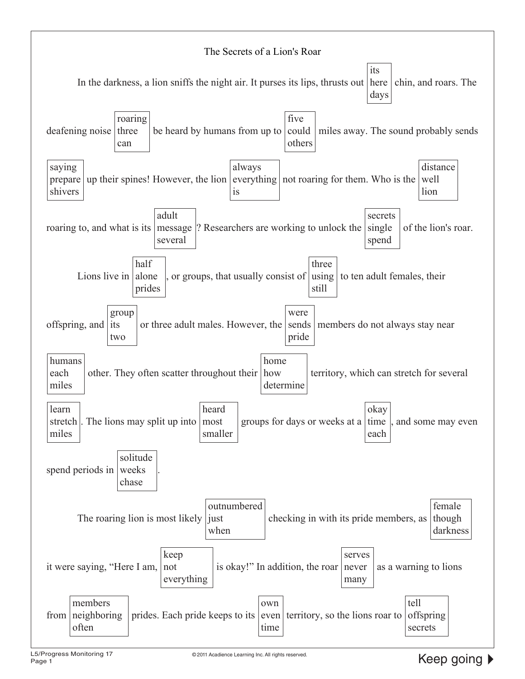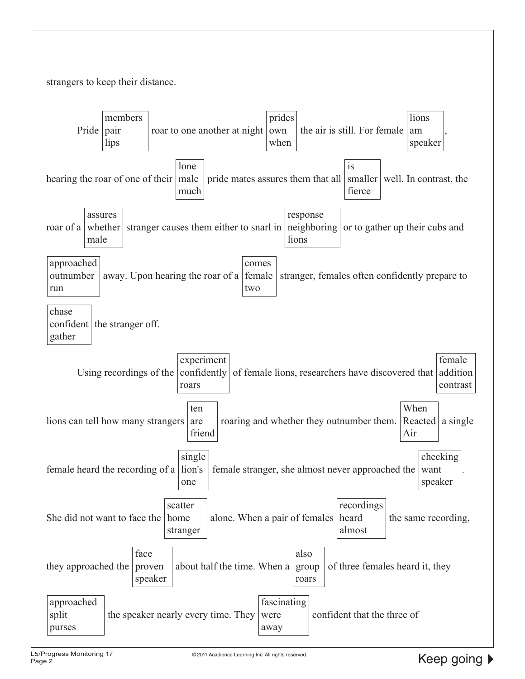strangers to keep their distance.

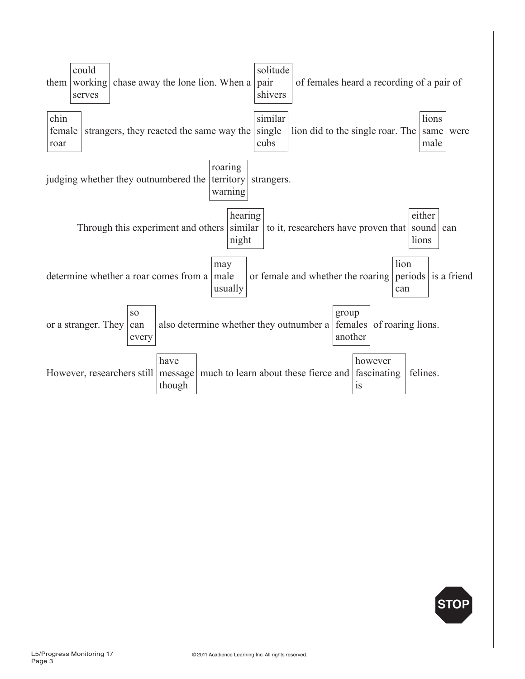

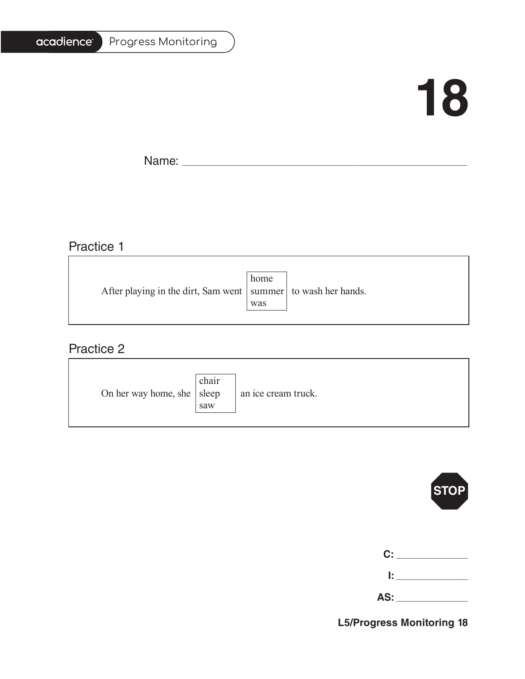#### Progress Monitoring

## **18**

T.

Name: \_\_\_\_\_\_\_\_\_\_\_\_\_\_\_\_\_\_\_\_\_\_\_\_\_\_\_\_\_\_\_\_\_\_\_\_\_\_\_\_\_\_\_\_\_\_\_\_\_\_\_\_\_\_\_\_\_\_\_\_\_\_\_\_\_\_\_\_\_\_\_\_\_\_\_\_\_\_\_\_\_\_\_\_\_\_\_\_\_\_\_\_\_\_\_\_\_\_\_\_\_\_\_

<u> 1989 - Johann Stein, marwolaethau a bhann an t-Amhainn an t-Amhainn an t-Amhainn an t-Amhainn an t-Amhainn a</u>

## Practice 1

|                                                                   | home |  |
|-------------------------------------------------------------------|------|--|
| After playing in the dirt, Sam went   summer   to wash her hands. |      |  |
|                                                                   | was  |  |
|                                                                   |      |  |

<u> 1989 - Johann Stoff, deutscher Stoffen und der Stoffen und der Stoffen und der Stoffen und der Stoffen und der</u>

### Practice 2

| On her way home, she $ $ sleep | chair<br>saw | an ice cream truck. |
|--------------------------------|--------------|---------------------|
|--------------------------------|--------------|---------------------|



| C:  |  |
|-----|--|
| Ŀ   |  |
| AS: |  |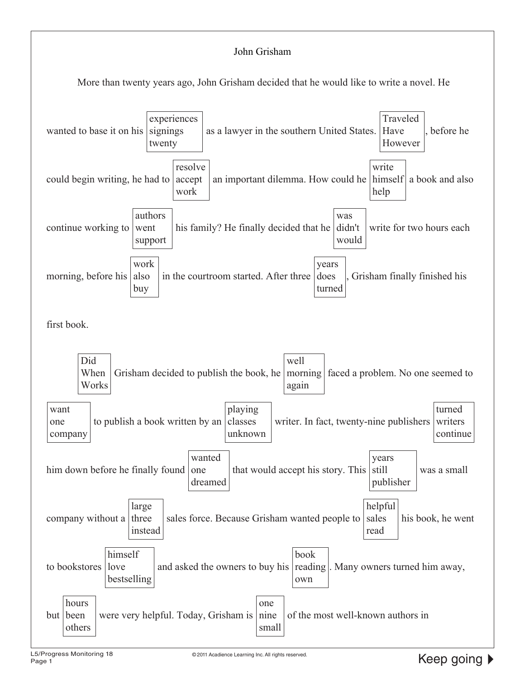#### John Grisham

More than twenty years ago, John Grisham decided that he would like to write a novel. He

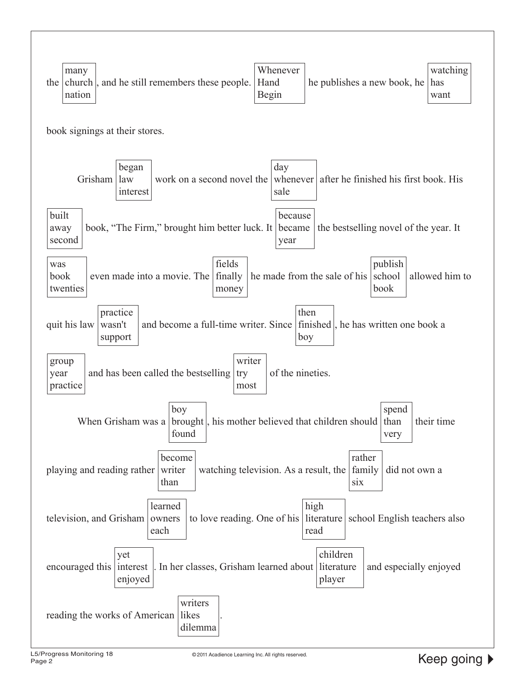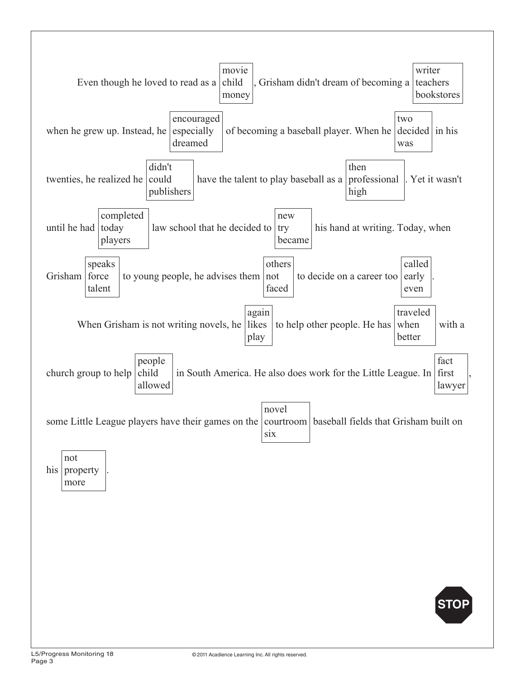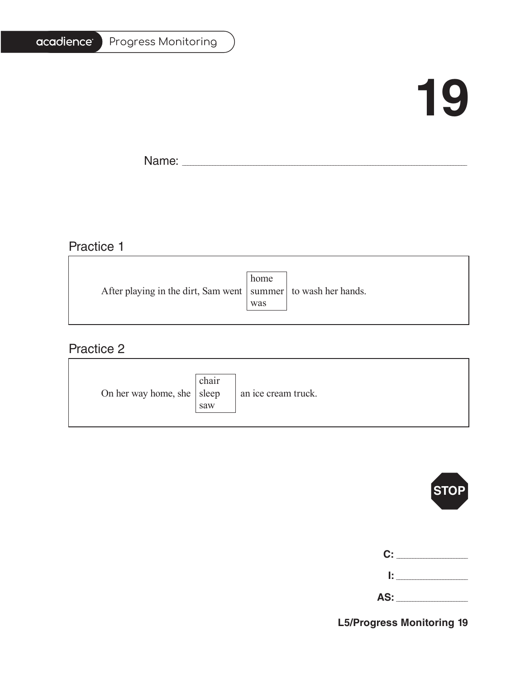# acadience®

#### Progress Monitoring

# **19**

T.

Name: \_\_\_\_\_\_\_\_\_\_\_\_\_\_\_\_\_\_\_\_\_\_\_\_\_\_\_\_\_\_\_\_\_\_\_\_\_\_\_\_\_\_\_\_\_\_\_\_\_\_\_\_\_\_\_\_\_\_\_\_\_\_\_\_\_\_\_\_\_\_\_\_\_\_\_\_\_\_\_\_\_\_\_\_\_\_\_\_\_\_\_\_\_\_\_\_\_\_\_\_\_\_\_

# Practice 1

|                                                                   | home |  |
|-------------------------------------------------------------------|------|--|
| After playing in the dirt, Sam went   summer   to wash her hands. |      |  |
|                                                                   | was  |  |
|                                                                   |      |  |

<u> 1989 - Johann Barn, fransk politik (f. 1989)</u>

### Practice 2

| On her way home, she $ $ sleep | chair<br>saw | an ice cream truck. |
|--------------------------------|--------------|---------------------|
|--------------------------------|--------------|---------------------|



| C:  |  |
|-----|--|
| Ŀ.  |  |
| AS: |  |

**L5/Progress Monitoring 19**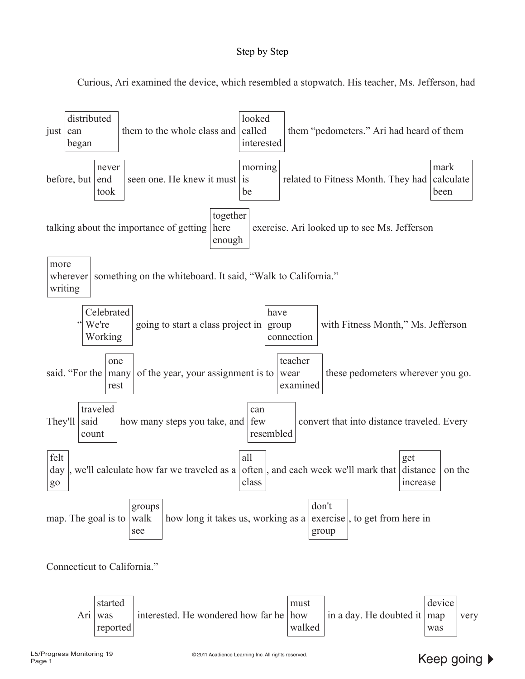#### Step by Step

Curious, Ari examined the device, which resembled a stopwatch. His teacher, Ms. Jefferson, had

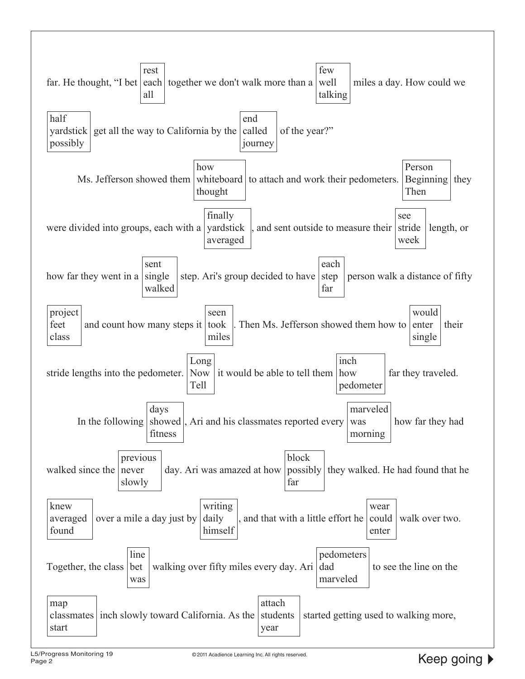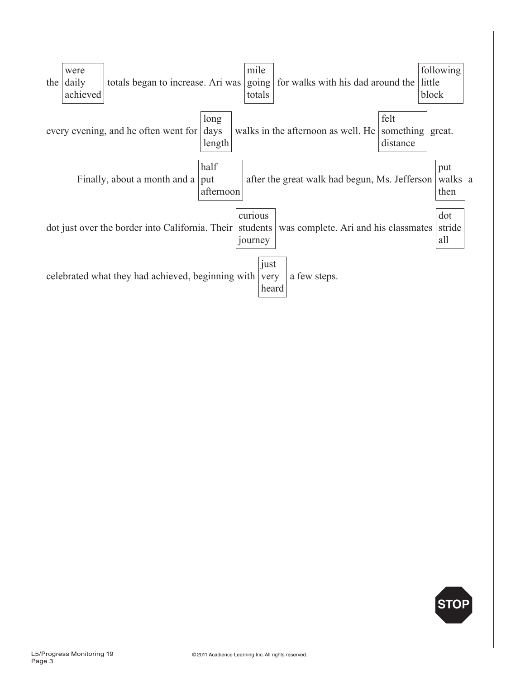

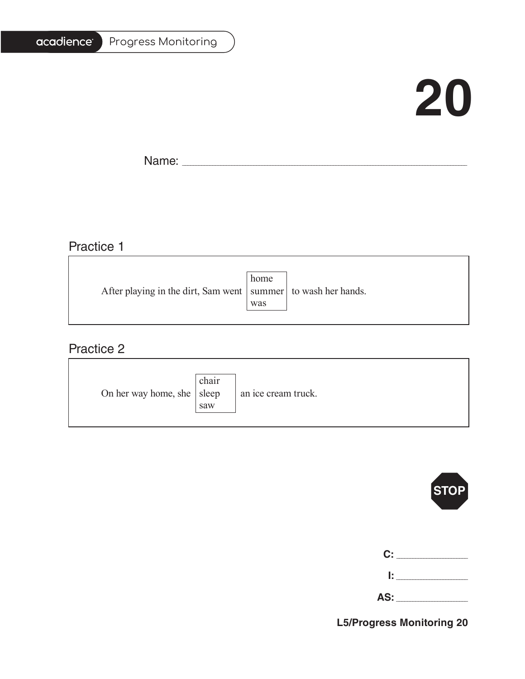# acadience®

#### Progress Monitoring

# **20**

T.

Name: \_\_\_\_\_\_\_\_\_\_\_\_\_\_\_\_\_\_\_\_\_\_\_\_\_\_\_\_\_\_\_\_\_\_\_\_\_\_\_\_\_\_\_\_\_\_\_\_\_\_\_\_\_\_\_\_\_\_\_\_\_\_\_\_\_\_\_\_\_\_\_\_\_\_\_\_\_\_\_\_\_\_\_\_\_\_\_\_\_\_\_\_\_\_\_\_\_\_\_\_\_\_\_

## Practice 1

|                                                                   | home |  |
|-------------------------------------------------------------------|------|--|
| After playing in the dirt, Sam went   summer   to wash her hands. |      |  |
|                                                                   | was  |  |
|                                                                   |      |  |

<u> 1989 - Johann Stoff, deutscher Stoffen und der Stoffen und der Stoffen und der Stoffen und der Stoffen und der</u>

### Practice 2

| On her way home, she $ $ sleep | chair<br>saw | an ice cream truck. |
|--------------------------------|--------------|---------------------|
|--------------------------------|--------------|---------------------|



| C: _________ |
|--------------|
|              |

**L5/Progress Monitoring 20**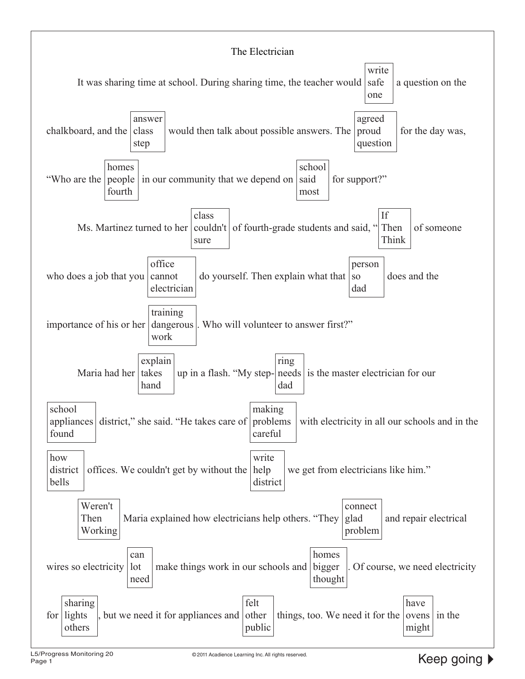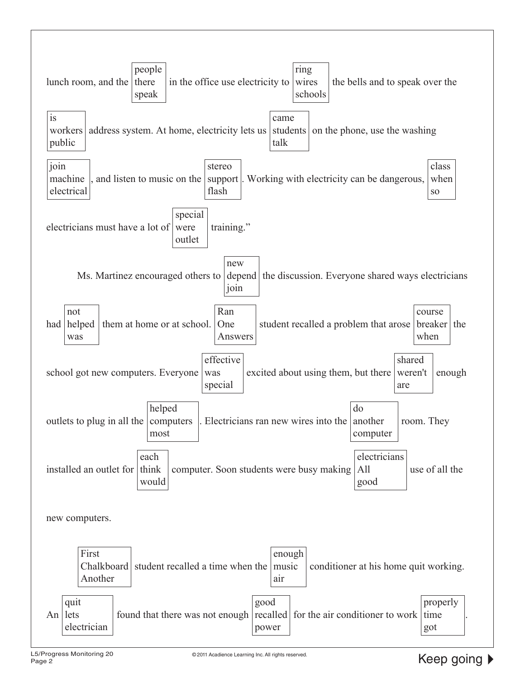